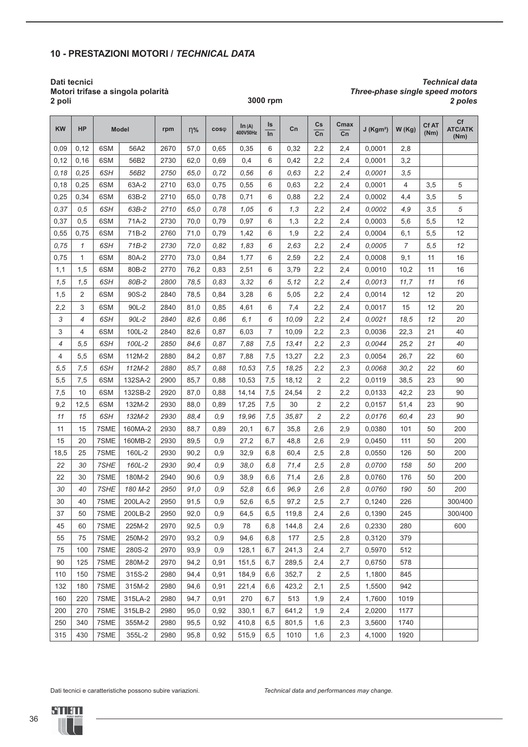## **10 - PRESTAZIONI MOTORI /** *TECHNICAL DATA*

#### **Dati tecnici Motori trifase a singola polarità 2 poli**

*Technical data Three-phase single speed motors*

| <b>KW</b> | <b>HP</b>      |      | <b>Model</b> | rpm  | $n\%$ | $cos\phi$ | In (A)<br>400V50Hz | Is<br>$\ln$ | Cn    | $\mathsf{Cs}$<br>Cn | Cmax<br>$\overline{\text{Cn}}$ | $J$ (Kgm <sup>2</sup> ) | W(Kg) | <b>CfAT</b><br>(Nm) | Cf<br><b>ATC/ATK</b><br>(Nm) |
|-----------|----------------|------|--------------|------|-------|-----------|--------------------|-------------|-------|---------------------|--------------------------------|-------------------------|-------|---------------------|------------------------------|
| 0,09      | 0,12           | 6SM  | 56A2         | 2670 | 57,0  | 0,65      | 0,35               | 6           | 0,32  | 2,2                 | 2,4                            | 0,0001                  | 2,8   |                     |                              |
| 0,12      | 0,16           | 6SM  | 56B2         | 2730 | 62,0  | 0,69      | 0,4                | 6           | 0,42  | 2,2                 | 2,4                            | 0,0001                  | 3,2   |                     |                              |
| 0, 18     | 0,25           | 6SH  | 56B2         | 2750 | 65,0  | 0,72      | 0,56               | 6           | 0,63  | 2,2                 | 2,4                            | 0,0001                  | 3,5   |                     |                              |
| 0,18      | 0,25           | 6SM  | 63A-2        | 2710 | 63,0  | 0,75      | 0,55               | 6           | 0,63  | 2,2                 | 2,4                            | 0,0001                  | 4     | 3,5                 | 5                            |
| 0,25      | 0,34           | 6SM  | 63B-2        | 2710 | 65,0  | 0,78      | 0,71               | 6           | 0,88  | 2,2                 | 2,4                            | 0,0002                  | 4,4   | 3,5                 | 5                            |
| 0,37      | 0, 5           | 6SH  | 63B-2        | 2710 | 65.0  | 0,78      | 1,05               | 6           | 1,3   | 2,2                 | 2,4                            | 0.0002                  | 4,9   | 3,5                 | 5                            |
| 0,37      | 0,5            | 6SM  | 71A-2        | 2730 | 70,0  | 0,79      | 0,97               | 6           | 1,3   | 2,2                 | 2,4                            | 0,0003                  | 5,6   | 5,5                 | 12                           |
| 0,55      | 0,75           | 6SM  | 71B-2        | 2760 | 71,0  | 0,79      | 1,42               | 6           | 1,9   | 2,2                 | 2,4                            | 0,0004                  | 6,1   | 5,5                 | 12                           |
| 0,75      | $\mathcal I$   | 6SH  | $71B-2$      | 2730 | 72,0  | 0,82      | 1,83               | 6           | 2,63  | 2,2                 | 2,4                            | 0,0005                  | 7     | 5,5                 | 12                           |
| 0,75      | $\mathbf{1}$   | 6SM  | 80A-2        | 2770 | 73,0  | 0,84      | 1,77               | 6           | 2,59  | 2,2                 | 2,4                            | 0,0008                  | 9,1   | 11                  | 16                           |
| 1,1       | 1,5            | 6SM  | 80B-2        | 2770 | 76,2  | 0,83      | 2,51               | 6           | 3,79  | 2,2                 | 2,4                            | 0,0010                  | 10,2  | 11                  | 16                           |
| 1,5       | 1, 5           | 6SH  | 80B-2        | 2800 | 78,5  | 0,83      | 3,32               | 6           | 5,12  | 2,2                 | 2,4                            | 0,0013                  | 11,7  | 11                  | 16                           |
| 1,5       | 2              | 6SM  | 90S-2        | 2840 | 78,5  | 0,84      | 3,28               | 6           | 5,05  | 2,2                 | 2,4                            | 0,0014                  | 12    | 12                  | 20                           |
| 2,2       | 3              | 6SM  | 90L-2        | 2840 | 81,0  | 0,85      | 4,61               | 6           | 7,4   | 2,2                 | 2,4                            | 0,0017                  | 15    | 12                  | 20                           |
| 3         | $\overline{4}$ | 6SH  | 90L-2        | 2840 | 82,6  | 0,86      | 6,1                | 6           | 10,09 | 2,2                 | 2,4                            | 0,0021                  | 18,5  | 12                  | 20                           |
| 3         | 4              | 6SM  | 100L-2       | 2840 | 82,6  | 0,87      | 6,03               | 7           | 10,09 | 2,2                 | 2,3                            | 0,0036                  | 22,3  | 21                  | 40                           |
| 4         | 5.5            | 6SH  | 100L-2       | 2850 | 84,6  | 0.87      | 7,88               | 7,5         | 13,41 | 2,2                 | 2,3                            | 0.0044                  | 25,2  | 21                  | 40                           |
| 4         | 5,5            | 6SM  | 112M-2       | 2880 | 84,2  | 0,87      | 7,88               | 7,5         | 13,27 | 2,2                 | 2,3                            | 0,0054                  | 26,7  | 22                  | 60                           |
| 5, 5      | 7,5            | 6SH  | 112M-2       | 2880 | 85,7  | 0.88      | 10,53              | 7,5         | 18,25 | 2, 2                | 2,3                            | 0,0068                  | 30,2  | 22                  | 60                           |
| 5,5       | 7,5            | 6SM  | 132SA-2      | 2900 | 85,7  | 0,88      | 10,53              | 7,5         | 18,12 | 2                   | 2,2                            | 0,0119                  | 38,5  | 23                  | 90                           |
| 7,5       | 10             | 6SM  | 132SB-2      | 2920 | 87,0  | 0,88      | 14,14              | 7,5         | 24,54 | 2                   | 2,2                            | 0,0133                  | 42,2  | 23                  | 90                           |
| 9,2       | 12,5           | 6SM  | 132M-2       | 2930 | 88,0  | 0,89      | 17,25              | 7,5         | 30    | 2                   | 2,2                            | 0,0157                  | 51,4  | 23                  | 90                           |
| 11        | 15             | 6SH  | 132M-2       | 2930 | 88.4  | 0,9       | 19,96              | 7,5         | 35,87 | 2                   | 2,2                            | 0,0176                  | 60,4  | 23                  | 90                           |
| 11        | 15             | 7SME | 160MA-2      | 2930 | 88,7  | 0,89      | 20,1               | 6,7         | 35,8  | 2,6                 | 2,9                            | 0,0380                  | 101   | 50                  | 200                          |
| 15        | 20             | 7SME | 160MB-2      | 2930 | 89,5  | 0,9       | 27,2               | 6,7         | 48,8  | 2,6                 | 2,9                            | 0,0450                  | 111   | 50                  | 200                          |
| 18,5      | 25             | 7SME | 160L-2       | 2930 | 90,2  | 0,9       | 32,9               | 6,8         | 60,4  | 2,5                 | 2,8                            | 0,0550                  | 126   | 50                  | 200                          |
| 22        | 30             | 7SHE | 160L-2       | 2930 | 90,4  | 0,9       | 38,0               | 6,8         | 71,4  | 2,5                 | 2,8                            | 0.0700                  | 158   | 50                  | 200                          |
| 22        | 30             | 7SME | 180M-2       | 2940 | 90,6  | 0,9       | 38,9               | 6,6         | 71,4  | 2,6                 | 2,8                            | 0,0760                  | 176   | 50                  | 200                          |
| 30        | 40             | 7SHE | 180 M-2      | 2950 | 91,0  | 0,9       | 52,8               | 6,6         | 96,9  | 2,6                 | 2,8                            | 0,0760                  | 190   | 50                  | 200                          |
| 30        | 40             | 7SME | 200LA-2      | 2950 | 91,5  | 0,9       | 52,6               | 6,5         | 97,2  | 2,5                 | 2,7                            | 0,1240                  | 226   |                     | 300/400                      |
| 37        | 50             | 7SME | 200LB-2      | 2950 | 92,0  | 0,9       | 64,5               | 6,5         | 119,8 | 2,4                 | 2,6                            | 0,1390                  | 245   |                     | 300/400                      |
| 45        | 60             | 7SME | 225M-2       | 2970 | 92,5  | 0,9       | 78                 | 6,8         | 144,8 | 2,4                 | 2,6                            | 0,2330                  | 280   |                     | 600                          |
| 55        | 75             | 7SME | 250M-2       | 2970 | 93,2  | 0,9       | 94,6               | 6,8         | 177   | 2,5                 | 2,8                            | 0,3120                  | 379   |                     |                              |
| 75        | 100            | 7SME | 280S-2       | 2970 | 93,9  | 0,9       | 128,1              | 6,7         | 241,3 | 2,4                 | 2,7                            | 0,5970                  | 512   |                     |                              |
| 90        | 125            | 7SME | 280M-2       | 2970 | 94,2  | 0,91      | 151,5              | 6,7         | 289,5 | 2,4                 | 2,7                            | 0,6750                  | 578   |                     |                              |
| 110       | 150            | 7SME | 315S-2       | 2980 | 94,4  | 0,91      | 184,9              | 6,6         | 352,7 | 2                   | 2,5                            | 1,1800                  | 845   |                     |                              |
| 132       | 180            | 7SME | 315M-2       | 2980 | 94,6  | 0,91      | 221,4              | 6,6         | 423,2 | 2,1                 | 2,5                            | 1,5500                  | 942   |                     |                              |
| 160       | 220            | 7SME | 315LA-2      | 2980 | 94,7  | 0,91      | 270                | 6,7         | 513   | 1,9                 | 2,4                            | 1,7600                  | 1019  |                     |                              |
| 200       | 270            | 7SME | 315LB-2      | 2980 | 95,0  | 0,92      | 330,1              | 6,7         | 641,2 | 1,9                 | 2,4                            | 2,0200                  | 1177  |                     |                              |
| 250       | 340            | 7SME | 355M-2       | 2980 | 95,5  | 0,92      | 410,8              | 6,5         | 801,5 | 1,6                 | 2,3                            | 3,5600                  | 1740  |                     |                              |
| 315       | 430            | 7SME | 355L-2       | 2980 | 95,8  | 0,92      | 515,9              | 6,5         | 1010  | 1,6                 | 2,3                            | 4,1000                  | 1920  |                     |                              |

**3000 rpm** *2 poles*

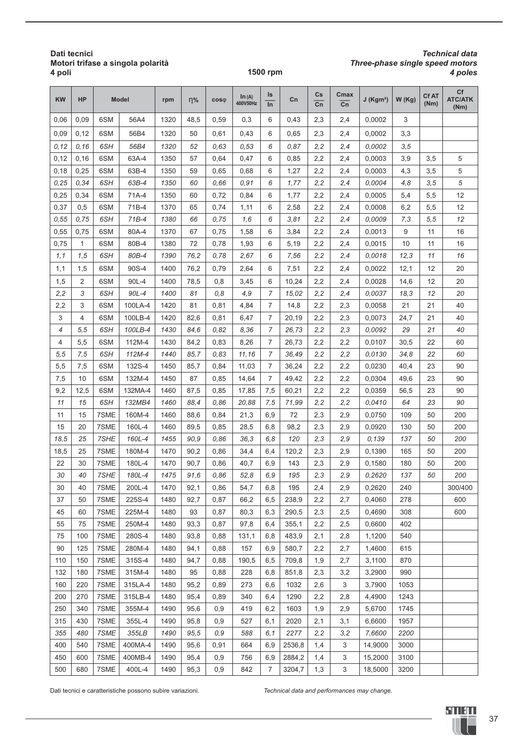#### **Dati tecnici Motori trifase a singola polarità 4 poli**

#### **1500 rpm** *4 poles*

# *Technical data Three-phase single speed motors*

| <b>KW</b>  | <b>HP</b>  |              | <b>Model</b>      | rpm          | $n\%$        | $cos\phi$  | In (A)<br>400V50Hz | ls<br>In              | Cn               | Cs<br>Cn   | Cmax<br>Cn | $J$ (Kgm <sup>2</sup> ) | W(Kg)        | <b>CfAT</b><br>(Nm) | <b>Cf</b><br><b>ATC/ATK</b><br>(Nm) |
|------------|------------|--------------|-------------------|--------------|--------------|------------|--------------------|-----------------------|------------------|------------|------------|-------------------------|--------------|---------------------|-------------------------------------|
| 0,06       | 0,09       | 6SM          | 56A4              | 1320         | 48,5         | 0,59       | 0,3                | 6                     | 0,43             | 2,3        | 2,4        | 0,0002                  | 3            |                     |                                     |
| 0,09       | 0,12       | 6SM          | 56B4              | 1320         | 50           | 0,61       | 0,43               | 6                     | 0,65             | 2,3        | 2,4        | 0,0002                  | 3,3          |                     |                                     |
| 0,12       | 0, 16      | 6SH          | 56B4              | 1320         | 52           | 0.63       | 0,53               | 6                     | 0.87             | 2,2        | 2,4        | 0,0002                  | 3,5          |                     |                                     |
| 0,12       | 0,16       | 6SM          | 63A-4             | 1350         | 57           | 0,64       | 0,47               | 6                     | 0,85             | 2,2        | 2,4        | 0,0003                  | 3,9          | 3,5                 | 5                                   |
| 0,18       | 0,25       | 6SM          | 63B-4             | 1350         | 59           | 0,65       | 0,68               | 6                     | 1,27             | 2,2        | 2,4        | 0,0003                  | 4,3          | 3,5                 | 5                                   |
| 0.25       | 0.34       | 6SH          | 63B-4             | 1350         | 60           | 0.66       | 0.91               | 6                     | 1,77             | 2,2        | 2,4        | 0,0004                  | 4,8          | 3,5                 | 5                                   |
| 0,25       | 0,34       | 6SM          | 71A-4             | 1350         | 60           | 0,72       | 0,84               | 6                     | 1,77             | 2,2        | 2,4        | 0,0005                  | 5,4          | 5,5                 | 12                                  |
| 0,37       | 0,5        | 6SM          | 71B-4             | 1370         | 65           | 0,74       | 1,11               | 6                     | 2,58             | 2,2        | 2,4        | 0,0008                  | 6,2          | 5,5                 | 12                                  |
| 0,55       | 0.75       | 6SH          | 71B-4             | 1380         | 66           | 0.75       | 1,6                | 6                     | 3.81             | 2,2        | 2,4        | 0,0009                  | 7,3          | 5,5                 | 12                                  |
| 0,55       | 0,75       | 6SM          | 80A-4             | 1370         | 67           | 0,75       | 1,58               | 6                     | 3,84             | 2,2        | 2,4        | 0,0013                  | 9            | 11                  | 16                                  |
| 0,75       | 1          | 6SM          | 80B-4             | 1380         | 72           | 0,78       | 1,93               | 6                     | 5,19             | 2,2        | 2,4        | 0,0015                  | 10           | 11                  | 16                                  |
| 1,1        | 1.5        | 6SH          | 80B-4             | 1390         | 76,2         | 0.78       | 2.67               | 6                     | 7,56             | 2,2        | 2,4        | 0.0018                  | 12,3         | 11                  | 16                                  |
| 1,1        | 1,5        | 6SM          | 90S-4             | 1400         | 76,2         | 0,79       | 2,64               | 6                     | 7,51             | 2,2        | 2,4        | 0,0022                  | 12,1         | 12                  | 20                                  |
| 1,5        | 2          | 6SM          | 90L-4             | 1400         | 78,5         | 0,8        | 3,45               | 6                     | 10,24            | 2,2        | 2,4        | 0,0028                  | 14,6         | 12                  | 20                                  |
| 2,2        | 3          | 6SH          | 90L-4             | 1400         | 81           | 0,8        | 4,9                | 7                     | 15,02            | 2,2        | 2,4        | 0,0037                  | 18,3         | 12                  | 20                                  |
| 2,2        | 3          | 6SM          | 100LA-4           | 1420         | 81           | 0,81       | 4,84               | 7                     | 14,8             | 2,2        | 2,3        | 0,0058                  | 21           | 21                  | 40                                  |
| 3          | 4          | 6SM          | 100LB-4           | 1420         | 82,6         | 0,81       | 6,47               | 7                     | 20,19            | 2,2        | 2,3        | 0,0073                  | 24,7         | 21                  | 40                                  |
| 4          | 5, 5       | 6SH          | 100LB-4           | 1430         | 84.6         | 0,82       | 8,36               | $\overline{7}$        | 26.73            | 2,2        | 2,3        | 0,0092                  | 29           | 21                  | 40                                  |
| 4          | 5,5        | 6SM          | 112M-4            | 1430         | 84,2         | 0,83       | 8,26               | 7                     | 26,73            | 2,2        | 2,2        | 0,0107                  | 30,5         | 22                  | 60                                  |
| 5,5        | 7,5        | 6SH          | 112M-4            | 1440         | 85.7         | 0.83       | 11,16              | 7                     | 36,49            | 2,2        | 2,2        | 0.0130                  | 34,8         | 22                  | 60                                  |
| 5,5        | 7,5        | 6SM          | 132S-4            | 1450         | 85,7         | 0,84       | 11,03              | $\overline{7}$        | 36,24            | 2,2        | 2,2        | 0,0230                  | 40,4         | 23                  | 90                                  |
| 7,5        | 10         | 6SM          | 132M-4            | 1450         | 87           | 0,85       | 14,64              | $\overline{7}$        | 49,42            | 2,2        | 2,2        | 0,0304                  | 49,6         | 23                  | 90                                  |
| 9,2        | 12,5       | 6SM          | 132MA-4           | 1460         | 87,5         | 0,85       | 17,85              | 7,5                   | 60,21            | 2,2        | 2,2        | 0,0359                  | 56,5         | 23                  | 90                                  |
| 11         | 15         | 6SH          | 132MB4            | 1460         | 88.4         | 0.86       | 20,88              | 7,5                   | 71,99            | 2,2        | 2,2        | 0.0410                  | 64           | 23                  | 90                                  |
| 11         | 15         | 7SME         | 160M-4            | 1460         | 88,6         | 0,84       | 21,3               | 6,9                   | 72               | 2,3        | 2,9        | 0,0750                  | 109          | 50                  | 200                                 |
| 15         | 20         | 7SME         | 160L-4            | 1460         | 89,5         | 0,85       | 28,5               | 6,8                   | 98,2             | 2,3        | 2,9        | 0,0920                  | 130          | 50                  | 200                                 |
| 18,5       | 25         | 7SHE         | 160L-4            | 1455         | 90,9         | 0.86       | 36,3               | 6,8                   | 120              | 2,3        | 2,9        | 0.139                   | 137          | 50                  | 200                                 |
| 18,5       | 25         | 7SME         | 180M-4            | 1470         | 90,2         | 0,86       | 34,4               | 6,4                   | 120,2            | 2,3        | 2,9        | 0,1390                  | 165          | 50                  | 200                                 |
| 22         | 30         | 7SME         | 180L-4            | 1470         | 90,7         | 0,86       | 40,7               | 6,9                   | 143              | 2,3        | 2,9        | 0,1580                  | 180          | 50                  | 200                                 |
| 30         | 40         | 7SHE         | 180L-4            | 1475         | 91,6         | 0.86       | 52,8               | 6,9                   | 195              | 2,3        | 2,9        | 0,2620                  | 137          | 50                  | 200                                 |
| 30         | 40         | 7SME         | 200L-4            | 1470         | 92,1         | 0,86       | 54,7               | 6,8                   | 195              | 2,4        | 2,9        | 0,2620                  | 240          |                     | 300/400                             |
| 37         | 50         | 7SME         | 225S-4            | 1480         | 92,7         | 0,87       | 66,2               | 6,5                   | 238,9            | 2,2        | 2,7        | 0,4060                  | 278          |                     | 600                                 |
| 45         | 60         | 7SME         | 225M-4            | 1480         | 93           | 0,87       | 80,3               | 6,3                   | 290,5            | 2,3        | 2,5        | 0,4690                  | 308          |                     | 600                                 |
| 55         | 75         | 7SME         | 250M-4            | 1480         | 93,3         | 0,87       | 97,8               | 6,4                   | 355,1            | 2,2        | 2,5        | 0,6600                  | 402          |                     |                                     |
| 75         | 100        | 7SME         | 280S-4            | 1480         | 93,8         | 0,88       | 131,1              | 6,8                   | 483,9            | 2,1        | 2,8        | 1,1200                  | 540          |                     |                                     |
| 90         | 125        | 7SME         | 280M-4            | 1480         | 94,1         | 0,88       | 157                | 6,9                   | 580,7            | 2,2        | 2,7        | 1,4600                  | 615          |                     |                                     |
| 110        | 150        | 7SME         | 315S-4            | 1480         | 94,7         | 0,88       | 190,5              | 6,5                   | 709,8            | 1,9        | 2,7        | 3,1100                  | 870          |                     |                                     |
| 132        | 180        | 7SME         | 315M-4            | 1480         | 95           | 0,88       | 228                | 6,8                   | 851,8            | 2,3        | 3,2        | 3,2900                  | 990          |                     |                                     |
| 160        | 220        | 7SME         | 315LA-4           | 1480         | 95,2         | 0,89       | 273                | 6,6                   | 1032             | 2,6        | 3          | 3,7900                  | 1053         |                     |                                     |
| 200        | 270        | 7SME         | 315LB-4           | 1480         | 95,4         | 0,89       | 340                | 6,4                   | 1290             | 2,2        | 2,8        | 4,4900                  | 1243         |                     |                                     |
| 250        | 340        | 7SME         | 355M-4            | 1490         | 95,6         | 0,9        | 419                | 6,2                   | 1603             | 1,9        | 2,9        | 5,6700                  | 1745         |                     |                                     |
| 315        | 430        | 7SME         | 355L-4            | 1490         | 95,8         | 0,9        | 527                | 6,1                   | 2020             | 2,1        | 3,1        | 6,6600                  | 1957         |                     |                                     |
| 355        | 480        | 7SME         | 355LB             | 1490         | 95,5         | 0,9        | 588                | 6,1                   | 2277             | 2,2        | 3,2        | 7,6600                  | 2200         |                     |                                     |
| 400        | 540        | 7SME         | 400MA-4           | 1490         | 95,6         | 0,91       | 664                | 6,9                   | 2536,8           | 1,4        | 3          | 14,9000                 | 3000         |                     |                                     |
| 450<br>500 | 600<br>680 | 7SME<br>7SME | 400MB-4<br>400L-4 | 1490<br>1490 | 95,4<br>95,3 | 0,9<br>0,9 | 756<br>842         | 6,9<br>$\overline{7}$ | 2884,2<br>3204,7 | 1,4<br>1,3 | 3<br>3     | 15,2000<br>18,5000      | 3100<br>3200 |                     |                                     |
|            |            |              |                   |              |              |            |                    |                       |                  |            |            |                         |              |                     |                                     |

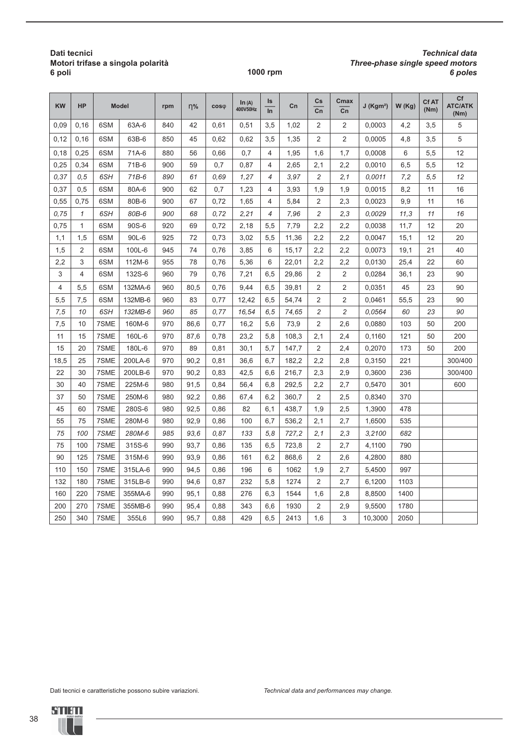#### **Dati tecnici Motori trifase a singola polarità 6 poli**

#### **1000 rpm** *6 poles*

## *Technical data Three-phase single speed motors*

| <b>KW</b> | <b>HP</b>    |      | <b>Model</b> | rpm | $n\%$ | $cos\phi$ | In (A)<br>400V50Hz | Is<br>$\ln$    | Cn    | $\mathsf{Cs}$<br>Cn | Cmax<br>$\overline{cn}$ | $J$ (Kgm <sup>2</sup> ) | W(Kg) | Cf AT<br>(Nm) | Cf<br><b>ATC/ATK</b><br>(Nm) |
|-----------|--------------|------|--------------|-----|-------|-----------|--------------------|----------------|-------|---------------------|-------------------------|-------------------------|-------|---------------|------------------------------|
| 0,09      | 0,16         | 6SM  | 63A-6        | 840 | 42    | 0,61      | 0,51               | 3,5            | 1,02  | 2                   | 2                       | 0,0003                  | 4,2   | 3,5           | 5                            |
| 0,12      | 0,16         | 6SM  | 63B-6        | 850 | 45    | 0,62      | 0,62               | 3,5            | 1,35  | $\overline{2}$      | $\overline{2}$          | 0,0005                  | 4,8   | 3,5           | 5                            |
| 0,18      | 0,25         | 6SM  | 71A-6        | 880 | 56    | 0,66      | 0,7                | $\overline{4}$ | 1,95  | 1,6                 | 1,7                     | 0,0008                  | 6     | 5,5           | 12                           |
| 0,25      | 0,34         | 6SM  | 71B-6        | 900 | 59    | 0,7       | 0,87               | 4              | 2,65  | 2,1                 | 2,2                     | 0,0010                  | 6,5   | 5,5           | 12                           |
| 0,37      | 0, 5         | 6SH  | $71B-6$      | 890 | 61    | 0,69      | 1,27               | $\overline{4}$ | 3,97  | 2                   | 2,1                     | 0,0011                  | 7,2   | 5,5           | 12                           |
| 0,37      | 0,5          | 6SM  | 80A-6        | 900 | 62    | 0,7       | 1,23               | $\overline{4}$ | 3,93  | 1,9                 | 1,9                     | 0,0015                  | 8,2   | 11            | 16                           |
| 0,55      | 0,75         | 6SM  | 80B-6        | 900 | 67    | 0,72      | 1,65               | 4              | 5,84  | $\overline{2}$      | 2,3                     | 0,0023                  | 9,9   | 11            | 16                           |
| 0,75      | $\mathcal I$ | 6SH  | 80B-6        | 900 | 68    | 0,72      | 2,21               | $\overline{4}$ | 7,96  | $\overline{c}$      | 2,3                     | 0.0029                  | 11,3  | 11            | 16                           |
| 0,75      | $\mathbf{1}$ | 6SM  | 90S-6        | 920 | 69    | 0,72      | 2,18               | 5,5            | 7,79  | 2,2                 | 2,2                     | 0,0038                  | 11,7  | 12            | 20                           |
| 1,1       | 1,5          | 6SM  | 90L-6        | 925 | 72    | 0,73      | 3,02               | 5,5            | 11,36 | 2,2                 | 2,2                     | 0,0047                  | 15,1  | 12            | 20                           |
| 1,5       | 2            | 6SM  | 100L-6       | 945 | 74    | 0,76      | 3,85               | 6              | 15,17 | 2,2                 | 2,2                     | 0,0073                  | 19,1  | 21            | 40                           |
| 2,2       | 3            | 6SM  | 112M-6       | 955 | 78    | 0,76      | 5,36               | 6              | 22,01 | 2,2                 | 2,2                     | 0,0130                  | 25,4  | 22            | 60                           |
| 3         | 4            | 6SM  | 132S-6       | 960 | 79    | 0,76      | 7,21               | 6,5            | 29,86 | 2                   | $\overline{2}$          | 0,0284                  | 36,1  | 23            | 90                           |
| 4         | 5,5          | 6SM  | 132MA-6      | 960 | 80,5  | 0,76      | 9,44               | 6,5            | 39,81 | $\overline{2}$      | $\overline{2}$          | 0,0351                  | 45    | 23            | 90                           |
| 5,5       | 7,5          | 6SM  | 132MB-6      | 960 | 83    | 0,77      | 12,42              | 6,5            | 54,74 | $\overline{2}$      | $\overline{2}$          | 0,0461                  | 55,5  | 23            | 90                           |
| 7,5       | 10           | 6SH  | 132MB-6      | 960 | 85    | 0.77      | 16,54              | 6,5            | 74,65 | 2                   | 2                       | 0.0564                  | 60    | 23            | 90                           |
| 7,5       | 10           | 7SME | 160M-6       | 970 | 86,6  | 0,77      | 16,2               | 5,6            | 73,9  | $\overline{2}$      | 2,6                     | 0,0880                  | 103   | 50            | 200                          |
| 11        | 15           | 7SME | 160L-6       | 970 | 87,6  | 0,78      | 23,2               | 5,8            | 108,3 | 2,1                 | 2,4                     | 0,1160                  | 121   | 50            | 200                          |
| 15        | 20           | 7SME | 180L-6       | 970 | 89    | 0,81      | 30,1               | 5,7            | 147,7 | $\overline{2}$      | 2,4                     | 0,2070                  | 173   | 50            | 200                          |
| 18,5      | 25           | 7SME | 200LA-6      | 970 | 90,2  | 0,81      | 36,6               | 6,7            | 182,2 | 2,2                 | 2,8                     | 0,3150                  | 221   |               | 300/400                      |
| 22        | 30           | 7SME | 200LB-6      | 970 | 90,2  | 0,83      | 42,5               | 6,6            | 216,7 | 2,3                 | 2,9                     | 0,3600                  | 236   |               | 300/400                      |
| 30        | 40           | 7SME | 225M-6       | 980 | 91,5  | 0,84      | 56,4               | 6,8            | 292,5 | 2,2                 | 2,7                     | 0,5470                  | 301   |               | 600                          |
| 37        | 50           | 7SME | 250M-6       | 980 | 92,2  | 0,86      | 67,4               | 6,2            | 360,7 | $\overline{2}$      | 2,5                     | 0,8340                  | 370   |               |                              |
| 45        | 60           | 7SME | 280S-6       | 980 | 92,5  | 0,86      | 82                 | 6,1            | 438,7 | 1,9                 | 2,5                     | 1,3900                  | 478   |               |                              |
| 55        | 75           | 7SME | 280M-6       | 980 | 92,9  | 0,86      | 100                | 6,7            | 536,2 | 2,1                 | 2,7                     | 1,6500                  | 535   |               |                              |
| 75        | 100          | 7SME | 280M-6       | 985 | 93,6  | 0,87      | 133                | 5,8            | 727,2 | 2,1                 | 2,3                     | 3,2100                  | 682   |               |                              |
| 75        | 100          | 7SME | 315S-6       | 990 | 93,7  | 0,86      | 135                | 6,5            | 723,8 | $\overline{2}$      | 2,7                     | 4,1100                  | 790   |               |                              |
| 90        | 125          | 7SME | 315M-6       | 990 | 93,9  | 0,86      | 161                | 6,2            | 868,6 | $\overline{2}$      | 2,6                     | 4,2800                  | 880   |               |                              |
| 110       | 150          | 7SME | 315LA-6      | 990 | 94,5  | 0,86      | 196                | 6              | 1062  | 1,9                 | 2,7                     | 5,4500                  | 997   |               |                              |
| 132       | 180          | 7SME | 315LB-6      | 990 | 94,6  | 0,87      | 232                | 5,8            | 1274  | $\overline{2}$      | 2,7                     | 6,1200                  | 1103  |               |                              |
| 160       | 220          | 7SME | 355MA-6      | 990 | 95,1  | 0,88      | 276                | 6,3            | 1544  | 1,6                 | 2,8                     | 8,8500                  | 1400  |               |                              |
| 200       | 270          | 7SME | 355MB-6      | 990 | 95,4  | 0,88      | 343                | 6,6            | 1930  | 2                   | 2,9                     | 9,5500                  | 1780  |               |                              |
| 250       | 340          | 7SME | 355L6        | 990 | 95,7  | 0,88      | 429                | 6,5            | 2413  | 1,6                 | 3                       | 10,3000                 | 2050  |               |                              |

Dati tecnici e caratteristiche possono subire variazioni. *Technical data and performances may change.*



38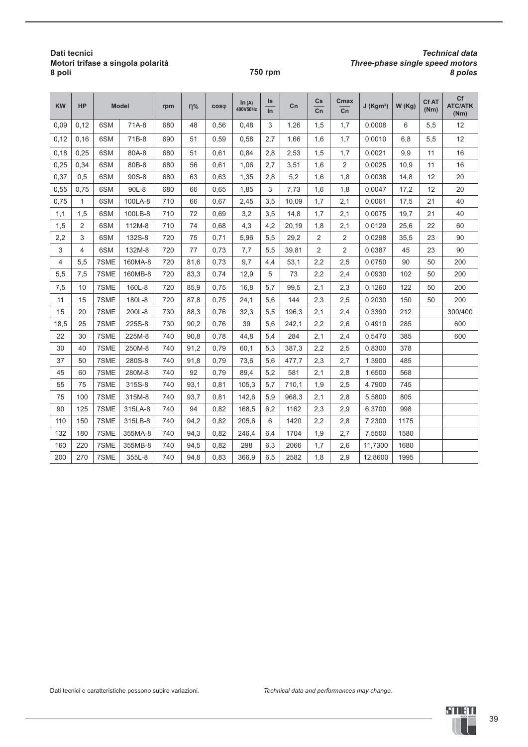#### **Dati tecnici Motori trifase a singola polarità 8 poli**

#### **750 rpm** *8 poles*

## *Technical data Three-phase single speed motors*

| <b>KW</b> | <b>HP</b>      |      | <b>Model</b> | rpm | $n\%$ | $cos\phi$ | In (A)<br>400V50Hz | Is<br>$\overline{\ln}$ | Cn    | Cs<br>$\overline{cn}$ | Cmax<br>$\overline{cn}$ | $J$ (Kgm <sup>2</sup> ) | W(Kg) | <b>CfAT</b><br>(Nm) | Cf<br><b>ATC/ATK</b><br>(Nm) |
|-----------|----------------|------|--------------|-----|-------|-----------|--------------------|------------------------|-------|-----------------------|-------------------------|-------------------------|-------|---------------------|------------------------------|
| 0,09      | 0.12           | 6SM  | 71A-8        | 680 | 48    | 0.56      | 0,48               | 3                      | 1,26  | 1,5                   | 1,7                     | 0,0008                  | 6     | 5,5                 | 12                           |
| 0,12      | 0.16           | 6SM  | 71B-8        | 690 | 51    | 0.59      | 0,58               | 2,7                    | 1,66  | 1,6                   | 1,7                     | 0.0010                  | 6,8   | 5,5                 | 12                           |
| 0,18      | 0,25           | 6SM  | 80A-8        | 680 | 51    | 0,61      | 0,84               | 2,8                    | 2,53  | 1,5                   | 1,7                     | 0,0021                  | 9,9   | 11                  | 16                           |
| 0,25      | 0.34           | 6SM  | 80B-8        | 680 | 56    | 0.61      | 1,06               | 2,7                    | 3,51  | 1,6                   | $\overline{2}$          | 0,0025                  | 10,9  | 11                  | 16                           |
| 0,37      | 0,5            | 6SM  | 90S-8        | 680 | 63    | 0,63      | 1,35               | 2,8                    | 5,2   | 1,6                   | 1,8                     | 0,0038                  | 14,8  | 12                  | 20                           |
| 0,55      | 0,75           | 6SM  | 90L-8        | 680 | 66    | 0,65      | 1,85               | 3                      | 7,73  | 1,6                   | 1,8                     | 0,0047                  | 17,2  | 12                  | 20                           |
| 0,75      | 1              | 6SM  | 100LA-8      | 710 | 66    | 0.67      | 2,45               | 3,5                    | 10,09 | 1,7                   | 2,1                     | 0,0061                  | 17,5  | 21                  | 40                           |
| 1,1       | 1,5            | 6SM  | 100LB-8      | 710 | 72    | 0.69      | 3,2                | 3,5                    | 14,8  | 1,7                   | 2,1                     | 0,0075                  | 19,7  | 21                  | 40                           |
| 1,5       | $\overline{2}$ | 6SM  | 112M-8       | 710 | 74    | 0,68      | 4,3                | 4,2                    | 20,19 | 1,8                   | 2,1                     | 0,0129                  | 25,6  | 22                  | 60                           |
| 2,2       | 3              | 6SM  | 132S-8       | 720 | 75    | 0,71      | 5,96               | 5,5                    | 29,2  | $\overline{2}$        | $\overline{2}$          | 0,0298                  | 35,5  | 23                  | 90                           |
| 3         | 4              | 6SM  | 132M-8       | 720 | 77    | 0,73      | 7,7                | 5,5                    | 39,81 | $\overline{2}$        | $\overline{2}$          | 0,0387                  | 45    | 23                  | 90                           |
| 4         | 5,5            | 7SME | 160MA-8      | 720 | 81,6  | 0,73      | 9,7                | 4,4                    | 53,1  | 2,2                   | 2,5                     | 0,0750                  | 90    | 50                  | 200                          |
| 5,5       | 7,5            | 7SME | 160MB-8      | 720 | 83,3  | 0,74      | 12,9               | 5                      | 73    | 2,2                   | 2,4                     | 0,0930                  | 102   | 50                  | 200                          |
| 7,5       | 10             | 7SME | 160L-8       | 720 | 85,9  | 0,75      | 16,8               | 5,7                    | 99,5  | 2,1                   | 2,3                     | 0,1260                  | 122   | 50                  | 200                          |
| 11        | 15             | 7SME | 180L-8       | 720 | 87,8  | 0,75      | 24,1               | 5,6                    | 144   | 2,3                   | 2,5                     | 0,2030                  | 150   | 50                  | 200                          |
| 15        | 20             | 7SME | 200L-8       | 730 | 88,3  | 0,76      | 32,3               | 5,5                    | 196,3 | 2,1                   | 2,4                     | 0,3390                  | 212   |                     | 300/400                      |
| 18,5      | 25             | 7SME | 225S-8       | 730 | 90,2  | 0,76      | 39                 | 5,6                    | 242,1 | 2,2                   | 2,6                     | 0,4910                  | 285   |                     | 600                          |
| 22        | 30             | 7SME | 225M-8       | 740 | 90,8  | 0,78      | 44,8               | 5,4                    | 284   | 2,1                   | 2,4                     | 0,5470                  | 385   |                     | 600                          |
| 30        | 40             | 7SME | 250M-8       | 740 | 91,2  | 0,79      | 60,1               | 5,3                    | 387,3 | 2,2                   | 2,5                     | 0,8300                  | 378   |                     |                              |
| 37        | 50             | 7SME | 280S-8       | 740 | 91,8  | 0,79      | 73,6               | 5,6                    | 477,7 | 2,3                   | 2,7                     | 1,3900                  | 485   |                     |                              |
| 45        | 60             | 7SME | 280M-8       | 740 | 92    | 0,79      | 89,4               | 5,2                    | 581   | 2,1                   | 2,8                     | 1,6500                  | 568   |                     |                              |
| 55        | 75             | 7SME | 315S-8       | 740 | 93,1  | 0,81      | 105,3              | 5,7                    | 710,1 | 1,9                   | 2,5                     | 4,7900                  | 745   |                     |                              |
| 75        | 100            | 7SME | 315M-8       | 740 | 93,7  | 0,81      | 142,6              | 5,9                    | 968,3 | 2,1                   | 2,8                     | 5,5800                  | 805   |                     |                              |
| 90        | 125            | 7SME | 315LA-8      | 740 | 94    | 0,82      | 168,5              | 6,2                    | 1162  | 2,3                   | 2,9                     | 6,3700                  | 998   |                     |                              |
| 110       | 150            | 7SME | 315LB-8      | 740 | 94,2  | 0,82      | 205,6              | 6                      | 1420  | 2,2                   | 2,8                     | 7,2300                  | 1175  |                     |                              |
| 132       | 180            | 7SME | 355MA-8      | 740 | 94,3  | 0,82      | 246,4              | 6,4                    | 1704  | 1,9                   | 2,7                     | 7,5500                  | 1580  |                     |                              |
| 160       | 220            | 7SME | 355MB-8      | 740 | 94,5  | 0,82      | 298                | 6,3                    | 2066  | 1,7                   | 2,6                     | 11,7300                 | 1680  |                     |                              |
| 200       | 270            | 7SME | 355L-8       | 740 | 94,8  | 0,83      | 366,9              | 6,5                    | 2582  | 1,8                   | 2,9                     | 12,8600                 | 1995  |                     |                              |

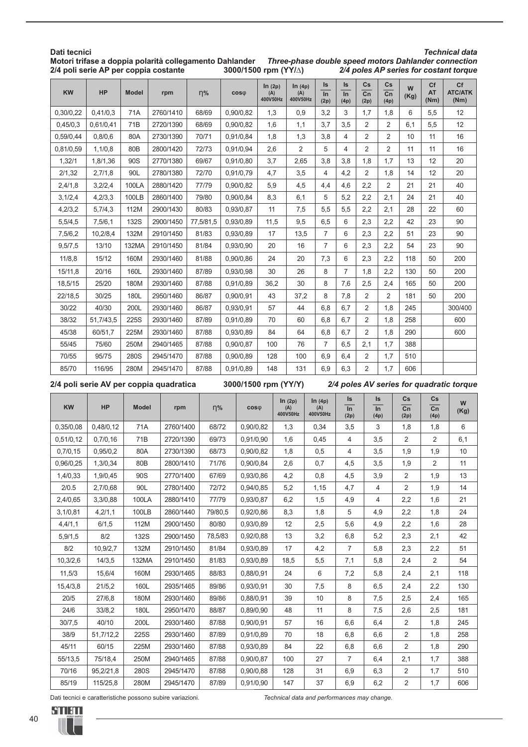#### **Dati tecnici Motori trifase a doppia polarità collegamento Dahlander 2/4 poli serie AP per coppia costante**  *Technical data Three-phase double speed motors Dahlander connection 2/4 poles AP series for costant torque* **3000/1500 rpm (YY/**∆**)**

| KW        | HP        | <b>Model</b>    | rpm       | $\eta\%$  | $cos\phi$ | In $(2p)$<br>(A)<br>400V50Hz | ln(4p)<br>(A)<br>400V50Hz | Is<br>$\overline{\ln}$<br>(2p) | Is<br>$\overline{\ln}$<br>(4p) | Cs<br>$\overline{cn}$<br>(2p) | Cs<br>$\overline{cn}$<br>(4p) | W<br>(Kg) | Cf<br><b>AT</b><br>(Nm) | Cf<br><b>ATC/ATK</b><br>(Nm) |
|-----------|-----------|-----------------|-----------|-----------|-----------|------------------------------|---------------------------|--------------------------------|--------------------------------|-------------------------------|-------------------------------|-----------|-------------------------|------------------------------|
| 0,30/0,22 | 0,41/0,3  | 71A             | 2760/1410 | 68/69     | 0,90/0,82 | 1,3                          | 0,9                       | 3,2                            | 3                              | 1,7                           | 1,8                           | 6         | 5,5                     | 12                           |
| 0,45/0,3  | 0,61/0,41 | 71 <sub>B</sub> | 2720/1390 | 68/69     | 0,90/0,82 | 1,6                          | 1,1                       | 3,7                            | 3,5                            | 2                             | 2                             | 6,1       | 5,5                     | 12                           |
| 0,59/0,44 | 0,8/0,6   | 80A             | 2730/1390 | 70/71     | 0,91/0,84 | 1,8                          | 1,3                       | 3,8                            | 4                              | 2                             | 2                             | 10        | 11                      | 16                           |
| 0,81/0,59 | 1,1/0,8   | 80 <sub>B</sub> | 2800/1420 | 72/73     | 0,91/0,94 | 2,6                          | $\overline{2}$            | 5                              | 4                              | $\overline{2}$                | $\overline{2}$                | 11        | 11                      | 16                           |
| 1,32/1    | 1,8/1,36  | 90S             | 2770/1380 | 69/67     | 0,91/0,80 | 3,7                          | 2,65                      | 3,8                            | 3,8                            | 1,8                           | 1,7                           | 13        | 12                      | 20                           |
| 2/1,32    | 2,7/1,8   | 90L             | 2780/1380 | 72/70     | 0,91/0,79 | 4,7                          | 3,5                       | 4                              | 4,2                            | $\overline{2}$                | 1,8                           | 14        | 12                      | 20                           |
| 2,4/1,8   | 3,2/2,4   | 100LA           | 2880/1420 | 77/79     | 0,90/0,82 | 5,9                          | 4,5                       | 4,4                            | 4,6                            | 2,2                           | 2                             | 21        | 21                      | 40                           |
| 3,1/2,4   | 4,2/3,3   | 100LB           | 2860/1400 | 79/80     | 0,90/0,84 | 8,3                          | 6,1                       | 5                              | 5,2                            | 2,2                           | 2,1                           | 24        | 21                      | 40                           |
| 4,2/3,2   | 5,7/4,3   | 112M            | 2900/1430 | 80/83     | 0,93/0,87 | 11                           | 7,5                       | 5,5                            | 5,5                            | 2,2                           | 2,1                           | 28        | 22                      | 60                           |
| 5,5/4,5   | 7,5/6,1   | <b>132S</b>     | 2900/1450 | 77,5/81,5 | 0,93/0,89 | 11,5                         | 9,5                       | 6,5                            | 6                              | 2,3                           | 2,2                           | 42        | 23                      | 90                           |
| 7,5/6,2   | 10,2/8,4  | 132M            | 2910/1450 | 81/83     | 0,93/0,89 | 17                           | 13,5                      | $\overline{7}$                 | 6                              | 2,3                           | 2,2                           | 51        | 23                      | 90                           |
| 9,5/7,5   | 13/10     | 132MA           | 2910/1450 | 81/84     | 0,93/0,90 | 20                           | 16                        | $\overline{7}$                 | 6                              | 2,3                           | 2,2                           | 54        | 23                      | 90                           |
| 11/8,8    | 15/12     | 160M            | 2930/1460 | 81/88     | 0,90/0,86 | 24                           | 20                        | 7,3                            | 6                              | 2,3                           | 2,2                           | 118       | 50                      | 200                          |
| 15/11,8   | 20/16     | 160L            | 2930/1460 | 87/89     | 0,93/0,98 | 30                           | 26                        | 8                              | $\overline{7}$                 | 1,8                           | 2,2                           | 130       | 50                      | 200                          |
| 18,5/15   | 25/20     | 180M            | 2930/1460 | 87/88     | 0,91/0,89 | 36,2                         | 30                        | 8                              | 7,6                            | 2,5                           | 2,4                           | 165       | 50                      | 200                          |
| 22/18,5   | 30/25     | 180L            | 2950/1460 | 86/87     | 0,90/0,91 | 43                           | 37,2                      | 8                              | 7,8                            | 2                             | $\overline{2}$                | 181       | 50                      | 200                          |
| 30/22     | 40/30     | 200L            | 2930/1460 | 86/87     | 0,93/0,91 | 57                           | 44                        | 6,8                            | 6,7                            | $\overline{2}$                | 1,8                           | 245       |                         | 300/400                      |
| 38/32     | 51,7/43,5 | 225S            | 2930/1460 | 87/89     | 0,91/0,89 | 70                           | 60                        | 6,8                            | 6,7                            | 2                             | 1,8                           | 258       |                         | 600                          |
| 45/38     | 60/51,7   | 225M            | 2930/1460 | 87/88     | 0,93/0,89 | 84                           | 64                        | 6,8                            | 6,7                            | $\overline{2}$                | 1,8                           | 290       |                         | 600                          |
| 55/45     | 75/60     | 250M            | 2940/1465 | 87/88     | 0,90/0,87 | 100                          | 76                        | $\overline{7}$                 | 6,5                            | 2,1                           | 1,7                           | 388       |                         |                              |
| 70/55     | 95/75     | 280S            | 2945/1470 | 87/88     | 0,90/0,89 | 128                          | 100                       | 6,9                            | 6,4                            | $\overline{2}$                | 1,7                           | 510       |                         |                              |
| 85/70     | 116/95    | 280M            | 2945/1470 | 87/88     | 0,91/0,89 | 148                          | 131                       | 6,9                            | 6,3                            | 2                             | 1,7                           | 606       |                         |                              |

**2/4 poli serie AV per coppia quadratica**

**3000/1500 rpm (YY/Y)**

*2/4 poles AV series for quadratic torque*

| <b>KW</b> | HP        | <b>Model</b> | rpm       | $\eta\%$ | $cos\phi$ | ln(2p)<br>(A)<br>400V50Hz | In $(4p)$<br>(A)<br>400V50Hz | Is<br>$\overline{\ln}$ | Is<br>$\overline{\ln}$ | Cs<br>$\overline{cn}$ | Cs<br>$\overline{cn}$ | W<br>(Kg) |
|-----------|-----------|--------------|-----------|----------|-----------|---------------------------|------------------------------|------------------------|------------------------|-----------------------|-----------------------|-----------|
| 0,35/0,08 | 0,48/0,12 | 71A          | 2760/1400 | 68/72    | 0,90/0,82 | 1,3                       | 0,34                         | (2p)<br>3,5            | (4p)<br>3              | (2p)<br>1,8           | (4p)<br>1,8           | 6         |
|           |           |              |           |          |           |                           |                              |                        |                        |                       |                       |           |
| 0,51/0,12 | 0,7/0,16  | 71B          | 2720/1390 | 69/73    | 0,91/0,90 | 1,6                       | 0,45                         | 4                      | 3,5                    | $\overline{2}$        | $\overline{2}$        | 6,1       |
| 0,7/0,15  | 0.95/0.2  | 80A          | 2730/1390 | 68/73    | 0,90/0,82 | 1,8                       | 0,5                          | 4                      | 3,5                    | 1,9                   | 1,9                   | 10        |
| 0,96/0,25 | 1,3/0,34  | 80B          | 2800/1410 | 71/76    | 0,90/0,84 | 2,6                       | 0,7                          | 4,5                    | 3,5                    | 1,9                   | $\overline{2}$        | 11        |
| 1,4/0,33  | 1,9/0,45  | 90S          | 2770/1400 | 67/69    | 0,93/0,86 | 4,2                       | 0,8                          | 4,5                    | 3,9                    | $\overline{2}$        | 1,9                   | 13        |
| 2/0.5     | 2,7/0,68  | 90L          | 2780/1400 | 72/72    | 0,94/0,85 | 5,2                       | 1,15                         | 4,7                    | 4                      | $\overline{2}$        | 1,9                   | 14        |
| 2,4/0,65  | 3,3/0,88  | 100LA        | 2880/1410 | 77/79    | 0,93/0,87 | 6,2                       | 1,5                          | 4,9                    | 4                      | 2,2                   | 1,6                   | 21        |
| 3,1/0,81  | 4,2/1,1   | 100LB        | 2860/1440 | 79/80,5  | 0,92/0,86 | 8,3                       | 1,8                          | 5                      | 4,9                    | 2,2                   | 1,8                   | 24        |
| 4,4/1,1   | 6/1,5     | 112M         | 2900/1450 | 80/80    | 0,93/0,89 | 12                        | 2,5                          | 5,6                    | 4,9                    | 2,2                   | 1,6                   | 28        |
| 5,9/1,5   | 8/2       | 132S         | 2900/1450 | 78,5/83  | 0,92/0,88 | 13                        | 3,2                          | 6,8                    | 5,2                    | 2,3                   | 2,1                   | 42        |
| 8/2       | 10,9/2,7  | 132M         | 2910/1450 | 81/84    | 0,93/0,89 | 17                        | 4,2                          | $\overline{7}$         | 5,8                    | 2,3                   | 2,2                   | 51        |
| 10,3/2,6  | 14/3,5    | 132MA        | 2910/1450 | 81/83    | 0,93/0,89 | 18,5                      | 5,5                          | 7,1                    | 5,8                    | 2,4                   | 2                     | 54        |
| 11,5/3    | 15,6/4    | 160M         | 2930/1465 | 88/83    | 0,88/0,91 | 24                        | 6                            | 7,2                    | 5,8                    | 2,4                   | 2,1                   | 118       |
| 15,4/3,8  | 21/5.2    | 160L         | 2935/1465 | 89/86    | 0,93/0,91 | 30                        | 7,5                          | 8                      | 6,5                    | 2,4                   | 2,2                   | 130       |
| 20/5      | 27/6,8    | 180M         | 2930/1460 | 89/86    | 0,88/0,91 | 39                        | 10                           | 8                      | 7,5                    | 2,5                   | 2,4                   | 165       |
| 24/6      | 33/8,2    | 180L         | 2950/1470 | 88/87    | 0,89/0,90 | 48                        | 11                           | 8                      | 7,5                    | 2,6                   | 2,5                   | 181       |
| 30/7,5    | 40/10     | 200L         | 2930/1460 | 87/88    | 0,90/0,91 | 57                        | 16                           | 6,6                    | 6,4                    | 2                     | 1,8                   | 245       |
| 38/9      | 51,7/12,2 | 225S         | 2930/1460 | 87/89    | 0,91/0,89 | 70                        | 18                           | 6,8                    | 6,6                    | 2                     | 1,8                   | 258       |
| 45/11     | 60/15     | 225M         | 2930/1460 | 87/88    | 0,93/0,89 | 84                        | 22                           | 6,8                    | 6,6                    | 2                     | 1,8                   | 290       |
| 55/13,5   | 75/18,4   | 250M         | 2940/1465 | 87/88    | 0,90/0,87 | 100                       | 27                           | $\overline{7}$         | 6,4                    | 2,1                   | 1,7                   | 388       |
| 70/16     | 95,2/21,8 | 280S         | 2945/1470 | 87/88    | 0,90/0,88 | 128                       | 31                           | 6,9                    | 6,3                    | 2                     | 1,7                   | 510       |
| 85/19     | 115/25,8  | 280M         | 2945/1470 | 87/89    | 0,91/0,90 | 147                       | 37                           | 6,9                    | 6,2                    | 2                     | 1,7                   | 606       |

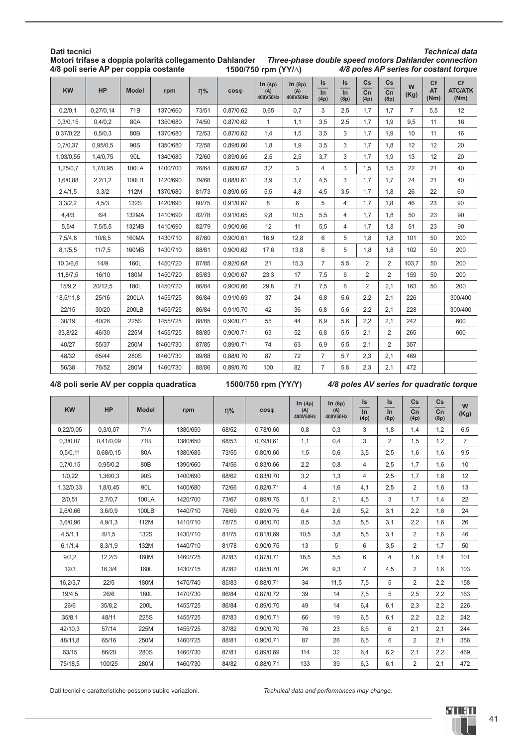| Dati tecnici |           |                 | Motori trifase a doppia polarità collegamento Dahlander<br>4/8 poli serie AP per coppia costante |          |           | 1500/750 rpm (YY/A)       |                           |                     |                                |                               |                                      |                |                         | <b>Technical data</b><br>Three-phase double speed motors Dahlander connection<br>4/8 poles AP series for costant torque |
|--------------|-----------|-----------------|--------------------------------------------------------------------------------------------------|----------|-----------|---------------------------|---------------------------|---------------------|--------------------------------|-------------------------------|--------------------------------------|----------------|-------------------------|-------------------------------------------------------------------------------------------------------------------------|
| KW           | HP        | <b>Model</b>    | rpm                                                                                              | $\eta\%$ | $cos\phi$ | ln(4p)<br>(A)<br>400V50Hz | ln(8p)<br>(A)<br>400V50Hz | Is<br>$\ln$<br>(4p) | Is<br>$\overline{\ln}$<br>(8p) | Cs<br>$\overline{cn}$<br>(4p) | Cs<br>$\overline{\text{cn}}$<br>(8p) | W<br>(Kg)      | Cf<br><b>AT</b><br>(Nm) | Cf<br><b>ATC/ATK</b><br>(Nm)                                                                                            |
| 0,2/0,1      | 0,27/0,14 | 71 <sub>B</sub> | 1370/660                                                                                         | 73/51    | 0,87/0,62 | 0.65                      | 0,7                       | 3                   | 2,5                            | 1,7                           | 1,7                                  | $\overline{7}$ | 5,5                     | 12                                                                                                                      |
| 0,3/0,15     | 0,4/0,2   | 80A             | 1350/680                                                                                         | 74/50    | 0,87/0,62 | 1                         | 1,1                       | 3,5                 | 2,5                            | 1,7                           | 1,9                                  | 9,5            | 11                      | 16                                                                                                                      |
| 0,37/0,22    | 0,5/0,3   | 80 <sub>B</sub> | 1370/680                                                                                         | 72/53    | 0,87/0,62 | 1,4                       | 1,5                       | 3.5                 | 3                              | 1.7                           | 1.9                                  | 10             | 11                      | 16                                                                                                                      |
| 0,7/0,37     | 0,95/0,5  | 90S             | 1350/680                                                                                         | 72/58    | 0,89/0,60 | 1,8                       | 1,9                       | 3,5                 | 3                              | 1,7                           | 1,8                                  | 12             | 12                      | 20                                                                                                                      |
| 1,03/0,55    | 1,4/0,75  | 90L             | 1340/680                                                                                         | 72/60    | 0,89/0,65 | 2,5                       | 2,5                       | 3,7                 | 3                              | 1,7                           | 1,9                                  | 13             | 12                      | 20                                                                                                                      |
| 1,25/0,7     | 1,7/0,95  | <b>100LA</b>    | 1400/700                                                                                         | 76/64    | 0,89/0,62 | 3,2                       | 3                         | 4                   | 3                              | 1,5                           | 1,5                                  | 22             | 21                      | 40                                                                                                                      |
| 1,6/0,88     | 2,2/1,2   | 100LB           | 1420/690                                                                                         | 79/66    | 0,88/0,61 | 3,9                       | 3,7                       | 4,5                 | 3                              | 1,7                           | 1,7                                  | 24             | 21                      | 40                                                                                                                      |
| 2,4/1,5      | 3,3/2     | 112M            | 1370/680                                                                                         | 81/73    | 0,89/0,65 | 5,5                       | 4,8                       | 4,5                 | 3,5                            | 1,7                           | 1,8                                  | 26             | 22                      | 60                                                                                                                      |
| 3,3/2,2      | 4,5/3     | <b>132S</b>     | 1420/690                                                                                         | 80/75    | 0,91/0,67 | 8                         | 6                         | 5                   | $\overline{4}$                 | 1,7                           | 1,8                                  | 46             | 23                      | 90                                                                                                                      |
| 4,4/3        | 6/4       | 132MA           | 1410/690                                                                                         | 82/78    | 0,91/0,65 | 9,8                       | 10,5                      | 5,5                 | $\overline{4}$                 | 1,7                           | 1,8                                  | 50             | 23                      | 90                                                                                                                      |
| 5,5/4        | 7,5/5,5   | 132MB           | 1410/690                                                                                         | 82/79    | 0,90/0,66 | 12                        | 11                        | 5,5                 | 4                              | 1,7                           | 1,8                                  | 51             | 23                      | 90                                                                                                                      |
| 7,5/4,8      | 10/6,5    | 160MA           | 1430/710                                                                                         | 87/80    | 0,90/0,61 | 16,9                      | 12,8                      | 6                   | 5                              | 1,8                           | 1,8                                  | 101            | 50                      | 200                                                                                                                     |
| 8,1/5,5      | 11/7,5    | 160MB           | 1430/710                                                                                         | 88/81    | 0.90/0.62 | 17,6                      | 13,8                      | 6                   | 5                              | 1,8                           | 1,8                                  | 102            | 50                      | 200                                                                                                                     |
| 10,3/6,6     | 14/9      | 160L            | 1450/720                                                                                         | 87/85    | 0,92/0,68 | 21                        | 15,3                      | $\overline{7}$      | 5,5                            | $\overline{2}$                | $\overline{2}$                       | 103.7          | 50                      | 200                                                                                                                     |
| 11,8/7,5     | 16/10     | 180M            | 1450/720                                                                                         | 85/83    | 0,90/0,67 | 23,3                      | 17                        | 7,5                 | 6                              | 2                             | $\overline{2}$                       | 159            | 50                      | 200                                                                                                                     |
| 15/9,2       | 20/12,5   | 180L            | 1450/720                                                                                         | 86/84    | 0.90/0.66 | 29,8                      | 21                        | 7,5                 | 6                              | $\overline{2}$                | 2,1                                  | 163            | 50                      | 200                                                                                                                     |
| 18,5/11,8    | 25/16     | 200LA           | 1455/725                                                                                         | 86/84    | 0,91/0,69 | 37                        | 24                        | 6,8                 | 5,6                            | 2,2                           | 2,1                                  | 226            |                         | 300/400                                                                                                                 |
| 22/15        | 30/20     | 200LB           | 1455/725                                                                                         | 86/84    | 0,91/0,70 | 42                        | 36                        | 6,8                 | 5,6                            | 2,2                           | 2,1                                  | 228            |                         | 300/400                                                                                                                 |
| 30/19        | 40/26     | 225S            | 1455/725                                                                                         | 88/85    | 0,90/0,71 | 55                        | 44                        | 6.9                 | 5,6                            | 2,2                           | 2,1                                  | 242            |                         | 600                                                                                                                     |
| 33,8/22      | 46/30     | 225M            | 1455/725                                                                                         | 88/85    | 0,90/0,71 | 63                        | 52                        | 6,8                 | 5,5                            | 2,1                           | $\overline{2}$                       | 265            |                         | 600                                                                                                                     |
| 40/27        | 55/37     | 250M            | 1460/730                                                                                         | 87/85    | 0,89/0,71 | 74                        | 63                        | 6,9                 | 5,5                            | 2,1                           | $\overline{2}$                       | 357            |                         |                                                                                                                         |
| 48/32        | 65/44     | 280S            | 1460/730                                                                                         | 89/88    | 0,88/0,70 | 87                        | 72                        | $\overline{7}$      | 5,7                            | 2,3                           | 2,1                                  | 469            |                         |                                                                                                                         |
| 56/38        | 76/52     | 280M            | 1460/730                                                                                         | 88/86    | 0,89/0,70 | 100                       | 82                        | $\overline{7}$      | 5,8                            | 2,3                           | 2,1                                  | 472            |                         |                                                                                                                         |

#### **4/8 poli serie AV per coppia quadratica 1500/750 rpm (YY/Y)** *4/8 poles AV series for quadratic torque*

| <b>KW</b> | <b>HP</b> | <b>Model</b> | rpm      | $\eta\%$ | $cos\phi$ | ln(4p)<br>(A)<br>400V50Hz | ln(8p)<br>(A)<br>400V50Hz | Is<br>$\ln$<br>(4p) | Is<br>$\overline{\ln}$<br>(8p) | Cs<br>$\overline{cn}$<br>(4p) | Cs<br>$\overline{cn}$<br>(8p) | W<br>(Kg)      |
|-----------|-----------|--------------|----------|----------|-----------|---------------------------|---------------------------|---------------------|--------------------------------|-------------------------------|-------------------------------|----------------|
| 0,22/0,05 | 0,3/0,07  | 71A          | 1380/650 | 68/52    | 0,78/0,60 | 0,8                       | 0,3                       | 3                   | 1,8                            | 1,4                           | 1,2                           | 6,5            |
| 0,3/0,07  | 0,41/0,09 | 71B          | 1380/650 | 68/53    | 0,79/0,61 | 1,1                       | 0,4                       | 3                   | 2                              | 1,5                           | 1,2                           | $\overline{7}$ |
| 0,5/0,11  | 0,68/0,15 | 80A          | 1380/685 | 73/55    | 0,80/0,60 | 1,5                       | 0,6                       | 3,5                 | 2,5                            | 1,6                           | 1,6                           | 9,5            |
| 0,7/0,15  | 0,95/0,2  | 80B          | 1390/660 | 74/56    | 0,83/0,66 | 2,2                       | 0,8                       | $\overline{4}$      | 2,5                            | 1,7                           | 1,6                           | 10             |
| 1/0,22    | 1,36/0,3  | 90S          | 1400/690 | 68/62    | 0,83/0,70 | 3,2                       | 1,3                       | $\overline{4}$      | 2,5                            | 1,7                           | 1,6                           | 12             |
| 1,32/0,33 | 1,8/0,45  | 90L          | 1400/680 | 72/66    | 0,82/0,71 | $\overline{4}$            | 1,6                       | 4,1                 | 2,5                            | $\overline{2}$                | 1,6                           | 13             |
| 2/0,51    | 2,7/0,7   | 100LA        | 1420/700 | 73/67    | 0,89/0,75 | 5,1                       | 2,1                       | 4,5                 | 3                              | 1,7                           | 1,4                           | 22             |
| 2,6/0,66  | 3,6/0,9   | 100LB        | 1440/710 | 76/69    | 0,89/0,75 | 6,4                       | 2,6                       | 5,2                 | 3,1                            | 2,2                           | 1,6                           | 24             |
| 3,6/0,96  | 4,9/1,3   | 112M         | 1410/710 | 78/75    | 0,86/0,70 | 8,5                       | 3,5                       | 5,5                 | 3,1                            | 2,2                           | 1,6                           | 26             |
| 4,5/1,1   | 6/1,5     | <b>132S</b>  | 1430/710 | 81/75    | 0,81/0,69 | 10,5                      | 3,8                       | 5,5                 | 3,1                            | $\overline{2}$                | 1,6                           | 46             |
| 6,1/1,4   | 8,3/1,9   | 132M         | 1440/710 | 81/78    | 0,90/0,75 | 13                        | 5                         | 6                   | 3,5                            | $\overline{2}$                | 1,7                           | 50             |
| 9/2,2     | 12,2/3    | 160M         | 1460/725 | 87/83    | 0,87/0,71 | 18,5                      | 5,5                       | 6                   | $\overline{4}$                 | 1,6                           | 1,4                           | 101            |
| 12/3      | 16,3/4    | 160L         | 1430/715 | 87/82    | 0,85/0,70 | 26                        | 9,3                       | $\overline{7}$      | 4,5                            | $\overline{2}$                | 1,6                           | 103            |
| 16,2/3,7  | 22/5      | 180M         | 1470/740 | 85/83    | 0,88/0,71 | 34                        | 11,5                      | 7,5                 | 5                              | $\overline{2}$                | 2,2                           | 158            |
| 19/4,5    | 26/6      | 180L         | 1470/730 | 86/84    | 0,87/0,72 | 39                        | 14                        | 7,5                 | 5                              | 2,5                           | 2,2                           | 163            |
| 26/6      | 35/8,2    | 200L         | 1455/725 | 86/84    | 0,89/0,70 | 49                        | 14                        | 6,4                 | 6,1                            | 2,3                           | 2,2                           | 226            |
| 35/8,1    | 48/11     | 225S         | 1455/725 | 87/83    | 0,90/0,71 | 66                        | 19                        | 6,5                 | 6,1                            | 2,2                           | 2,2                           | 242            |
| 42/10,3   | 57/14     | 225M         | 1455/725 | 87/82    | 0,90/0,70 | 76                        | 23                        | 6,6                 | 6                              | 2,1                           | 2,1                           | 244            |
| 48/11,8   | 65/16     | 250M         | 1460/725 | 88/81    | 0,90/0,71 | 87                        | 26                        | 6,5                 | 6                              | $\overline{2}$                | 2,1                           | 356            |
| 63/15     | 86/20     | 280S         | 1460/730 | 87/81    | 0,89/0,69 | 114                       | 32                        | 6,4                 | 6,2                            | 2,1                           | 2,2                           | 469            |
| 75/18,5   | 100/25    | 280M         | 1460/730 | 84/82    | 0,88/0,71 | 133                       | 39                        | 6,3                 | 6,1                            | $\overline{2}$                | 2,1                           | 472            |

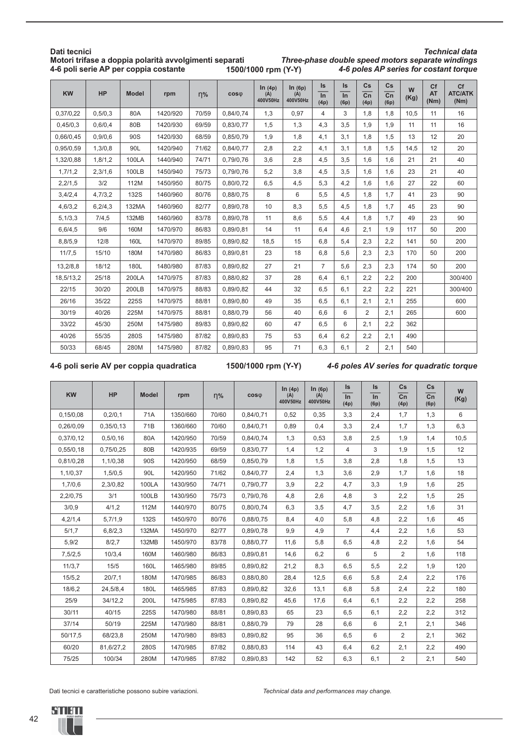|           |         |              | 4-6 poli serie AP per coppia costante |          |           | 1500/1000 rpm (Y-Y)       |                           |                                |                                |                                          |                                                 |           |                         | 4-6 poles AP series for costant torque |
|-----------|---------|--------------|---------------------------------------|----------|-----------|---------------------------|---------------------------|--------------------------------|--------------------------------|------------------------------------------|-------------------------------------------------|-----------|-------------------------|----------------------------------------|
| <b>KW</b> | HP      | <b>Model</b> | rpm                                   | $\eta\%$ | $cos\phi$ | ln(4p)<br>(A)<br>400V50Hz | ln(6p)<br>(A)<br>400V50Hz | Is<br>$\overline{\ln}$<br>(4p) | Is<br>$\overline{\ln}$<br>(6p) | $\mathsf{Cs}$<br>$\overline{cn}$<br>(4p) | $\mathsf{Cs}$<br>$\overline{\text{Cn}}$<br>(6p) | W<br>(Kg) | Cf<br><b>AT</b><br>(Nm) | Cf<br><b>ATC/ATK</b><br>(Nm)           |
| 0,37/0,22 | 0,5/0,3 | 80A          | 1420/920                              | 70/59    | 0,84/0,74 | 1,3                       | 0,97                      | 4                              | 3                              | 1,8                                      | 1,8                                             | 10,5      | 11                      | 16                                     |
| 0,45/0,3  | 0,6/0,4 | 80B          | 1420/930                              | 69/59    | 0,83/0,77 | 1,5                       | 1,3                       | 4,3                            | 3,5                            | 1,9                                      | 1,9                                             | 11        | 11                      | 16                                     |
| 0,66/0,45 | 0,9/0,6 | 90S          | 1420/930                              | 68/59    | 0,85/0,79 | 1,9                       | 1,8                       | 4,1                            | 3,1                            | 1,8                                      | 1,5                                             | 13        | 12                      | 20                                     |
| 0,95/0,59 | 1,3/0,8 | 90L          | 1420/940                              | 71/62    | 0,84/0,77 | 2,8                       | 2,2                       | 4,1                            | 3,1                            | 1,8                                      | 1,5                                             | 14,5      | 12                      | 20                                     |
| 1,32/0,88 | 1,8/1,2 | 100LA        | 1440/940                              | 74/71    | 0,79/0,76 | 3,6                       | 2,8                       | 4,5                            | 3,5                            | 1,6                                      | 1,6                                             | 21        | 21                      | 40                                     |
| 1,7/1,2   | 2,3/1,6 | 100LB        | 1450/940                              | 75/73    | 0,79/0,76 | 5,2                       | 3,8                       | 4,5                            | 3,5                            | 1,6                                      | 1,6                                             | 23        | 21                      | 40                                     |
| 2,2/1,5   | 3/2     | 112M         | 1450/950                              | 80/75    | 0,80/0,72 | 6,5                       | 4,5                       | 5,3                            | 4,2                            | 1,6                                      | 1,6                                             | 27        | 22                      | 60                                     |
| 3,4/2,4   | 4,7/3,2 | <b>132S</b>  | 1460/960                              | 80/76    | 0,88/0,75 | 8                         | 6                         | 5,5                            | 4,5                            | 1,8                                      | 1,7                                             | 41        | 23                      | 90                                     |
| 4,6/3,2   | 6,2/4,3 | 132MA        | 1460/960                              | 82/77    | 0,89/0,78 | 10                        | 8,3                       | 5,5                            | 4,5                            | 1,8                                      | 1,7                                             | 45        | 23                      | 90                                     |
| 5,1/3,3   | 7/4, 5  | 132MB        | 1460/960                              | 83/78    | 0,89/0,78 | 11                        | 8,6                       | 5,5                            | 4,4                            | 1,8                                      | 1,7                                             | 49        | 23                      | 90                                     |
| 6,6/4,5   | 9/6     | 160M         | 1470/970                              | 86/83    | 0,89/0,81 | 14                        | 11                        | 6,4                            | 4,6                            | 2,1                                      | 1,9                                             | 117       | 50                      | 200                                    |
| 8,8/5,9   | 12/8    | 160L         | 1470/970                              | 89/85    | 0,89/0,82 | 18,5                      | 15                        | 6,8                            | 5,4                            | 2,3                                      | 2,2                                             | 141       | 50                      | 200                                    |
| 11/7,5    | 15/10   | 180M         | 1470/980                              | 86/83    | 0,89/0,81 | 23                        | 18                        | 6,8                            | 5,6                            | 2,3                                      | 2,3                                             | 170       | 50                      | 200                                    |
| 13,2/8,8  | 18/12   | 180L         | 1480/980                              | 87/83    | 0,89/0,82 | 27                        | 21                        | $\overline{7}$                 | 5,6                            | 2,3                                      | 2,3                                             | 174       | 50                      | 200                                    |
| 18,5/13,2 | 25/18   | 200LA        | 1470/975                              | 87/83    | 0,88/0,82 | 37                        | 28                        | 6,4                            | 6,1                            | 2,2                                      | 2,2                                             | 200       |                         | 300/400                                |
| 22/15     | 30/20   | 200LB        | 1470/975                              | 88/83    | 0,89/0,82 | 44                        | 32                        | 6,5                            | 6,1                            | 2,2                                      | 2,2                                             | 221       |                         | 300/400                                |
| 26/16     | 35/22   | 225S         | 1470/975                              | 88/81    | 0,89/0,80 | 49                        | 35                        | 6,5                            | 6,1                            | 2,1                                      | 2,1                                             | 255       |                         | 600                                    |
| 30/19     | 40/26   | 225M         | 1470/975                              | 88/81    | 0,88/0,79 | 56                        | 40                        | 6,6                            | 6                              | 2                                        | 2,1                                             | 265       |                         | 600                                    |
| 33/22     | 45/30   | 250M         | 1475/980                              | 89/83    | 0,89/0,82 | 60                        | 47                        | 6,5                            | 6                              | 2,1                                      | 2,2                                             | 362       |                         |                                        |
| 40/26     | 55/35   | 280S         | 1475/980                              | 87/82    | 0,89/0,83 | 75                        | 53                        | 6,4                            | 6,2                            | 2,2                                      | 2,1                                             | 490       |                         |                                        |
| 50/33     | 68/45   | 280M         | 1475/980                              | 87/82    | 0,89/0,83 | 95                        | 71                        | 6,3                            | 6,1                            | $\overline{2}$                           | 2.1                                             | 540       |                         |                                        |

## **Dati tecnici Motori trifase a doppia polarità avvolgimenti separati**

*Technical data Three-phase double speed motors separate windings*

**4-6 poli serie AV per coppia quadratica 1500/1000 rpm (Y-Y)** *4-6 poles AV series for quadratic torque*

| <b>KW</b> | <b>HP</b> | <b>Model</b> | rpm      | $n\%$ | $cos\phi$ | ln(4p)<br>(A)<br>400V50Hz | ln(6p)<br>(A)<br>400V50Hz | Is<br>$\ln$<br>(4p) | <b>Is</b><br>$\ln$<br>(6p) | Cs<br>Cn<br>(4p) | $\mathsf{Cs}$<br>Cn<br>(6p) | W<br>(Kg) |
|-----------|-----------|--------------|----------|-------|-----------|---------------------------|---------------------------|---------------------|----------------------------|------------------|-----------------------------|-----------|
| 0,15/0,08 | 0,2/0,1   | 71A          | 1350/660 | 70/60 | 0,84/0,71 | 0,52                      | 0,35                      | 3,3                 | 2,4                        | 1,7              | 1,3                         | 6         |
| 0,26/0,09 | 0,35/0,13 | 71B          | 1360/660 | 70/60 | 0,84/0,71 | 0.89                      | 0,4                       | 3,3                 | 2,4                        | 1,7              | 1,3                         | 6,3       |
| 0,37/0,12 | 0,5/0,16  | 80A          | 1420/950 | 70/59 | 0,84/0,74 | 1,3                       | 0,53                      | 3,8                 | 2,5                        | 1,9              | 1,4                         | 10,5      |
| 0,55/0,18 | 0,75/0,25 | 80B          | 1420/935 | 69/59 | 0,83/0,77 | 1,4                       | 1,2                       | $\overline{4}$      | 3                          | 1,9              | 1,5                         | 12        |
| 0,81/0,28 | 1,1/0,38  | 90S          | 1420/950 | 68/59 | 0,85/0,79 | 1,8                       | 1,5                       | 3,8                 | 2,8                        | 1,8              | 1,5                         | 13        |
| 1,1/0,37  | 1,5/0,5   | 90L          | 1420/950 | 71/62 | 0,84/0,77 | 2,4                       | 1,3                       | 3,6                 | 2,9                        | 1,7              | 1,6                         | 18        |
| 1,7/0,6   | 2,3/0,82  | <b>100LA</b> | 1430/950 | 74/71 | 0,79/0,77 | 3,9                       | 2,2                       | 4,7                 | 3,3                        | 1,9              | 1,6                         | 25        |
| 2,2/0,75  | 3/1       | 100LB        | 1430/950 | 75/73 | 0,79/0,76 | 4,8                       | 2,6                       | 4,8                 | 3                          | 2,2              | 1,5                         | 25        |
| 3/0,9     | 4/1,2     | 112M         | 1440/970 | 80/75 | 0,80/0,74 | 6,3                       | 3,5                       | 4,7                 | 3,5                        | 2,2              | 1,6                         | 31        |
| 4,2/1,4   | 5,7/1,9   | <b>132S</b>  | 1450/970 | 80/76 | 0,88/0,75 | 8,4                       | 4,0                       | 5,8                 | 4,8                        | 2,2              | 1,6                         | 45        |
| 5/1,7     | 6,8/2,3   | 132MA        | 1450/970 | 82/77 | 0,89/0,78 | 9,9                       | 4,9                       | $\overline{7}$      | 4,4                        | 2,2              | 1,6                         | 53        |
| 5,9/2     | 8/2,7     | 132MB        | 1450/970 | 83/78 | 0,88/0,77 | 11,6                      | 5,8                       | 6,5                 | 4,8                        | 2,2              | 1,6                         | 54        |
| 7,5/2,5   | 10/3,4    | 160M         | 1460/980 | 86/83 | 0,89/0,81 | 14,6                      | 6,2                       | 6                   | 5                          | 2                | 1,6                         | 118       |
| 11/3,7    | 15/5      | 160L         | 1465/980 | 89/85 | 0,89/0,82 | 21,2                      | 8,3                       | 6,5                 | 5,5                        | 2,2              | 1,9                         | 120       |
| 15/5, 2   | 20/7,1    | 180M         | 1470/985 | 86/83 | 0,88/0,80 | 28,4                      | 12,5                      | 6,6                 | 5,8                        | 2,4              | 2,2                         | 176       |
| 18/6,2    | 24,5/8,4  | 180L         | 1465/985 | 87/83 | 0,89/0,82 | 32,6                      | 13,1                      | 6,8                 | 5,8                        | 2,4              | 2,2                         | 180       |
| 25/9      | 34/12,2   | 200L         | 1475/985 | 87/83 | 0,89/0,82 | 45,6                      | 17,6                      | 6,4                 | 6,1                        | 2,2              | 2,2                         | 258       |
| 30/11     | 40/15     | 225S         | 1470/980 | 88/81 | 0,89/0,83 | 65                        | 23                        | 6,5                 | 6,1                        | 2,2              | 2,2                         | 312       |
| 37/14     | 50/19     | 225M         | 1470/980 | 88/81 | 0,88/0,79 | 79                        | 28                        | 6,6                 | 6                          | 2,1              | 2,1                         | 346       |
| 50/17,5   | 68/23,8   | 250M         | 1470/980 | 89/83 | 0,89/0,82 | 95                        | 36                        | 6,5                 | 6                          | 2                | 2,1                         | 362       |
| 60/20     | 81,6/27,2 | 280S         | 1470/985 | 87/82 | 0,88/0,83 | 114                       | 43                        | 6,4                 | 6,2                        | 2,1              | 2,2                         | 490       |
| 75/25     | 100/34    | 280M         | 1470/985 | 87/82 | 0,89/0,83 | 142                       | 52                        | 6,3                 | 6,1                        | $\overline{2}$   | 2,1                         | 540       |

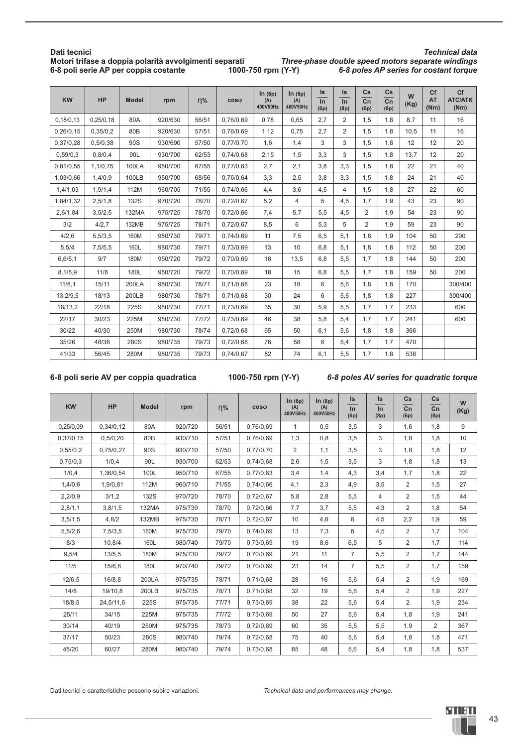| Dati tecnici                                           |                    | <b>Technical data</b>                             |
|--------------------------------------------------------|--------------------|---------------------------------------------------|
| Motori trifase a doppia polarità avvolgimenti separati |                    | Three-phase double speed motors separate windings |
| 6-8 poli serie AP per coppia costante                  | 1000-750 rpm (Y-Y) | 6-8 poles AP series for costant torque            |

| <b>KW</b> | <b>HP</b> | <b>Model</b>    | rpm     | $\eta\%$ | $cos\phi$ | ln(6p)<br>(A)<br>400V50Hz | ln(8p)<br>(A)<br>400V50Hz | Is<br>$\ln$<br>(6p) | <b>Is</b><br>$\ln$<br>(8p) | Cs<br>$\overline{cn}$<br>(6p) | $\mathsf{Cs}$<br>$\overline{cn}$<br>(8p) | W<br>(Kg) | Cf<br><b>AT</b><br>(Nm) | Cf<br><b>ATC/ATK</b><br>(Nm) |
|-----------|-----------|-----------------|---------|----------|-----------|---------------------------|---------------------------|---------------------|----------------------------|-------------------------------|------------------------------------------|-----------|-------------------------|------------------------------|
| 0,18/0,13 | 0,25/0,18 | 80A             | 920/630 | 56/51    | 0,76/0,69 | 0.78                      | 0,65                      | 2,7                 | $\overline{2}$             | 1,5                           | 1,8                                      | 8,7       | 11                      | 16                           |
| 0,26/0,15 | 0,35/0,2  | 80 <sub>B</sub> | 920/630 | 57/51    | 0,76/0,69 | 1,12                      | 0,75                      | 2,7                 | $\overline{2}$             | 1,5                           | 1,8                                      | 10,5      | 11                      | 16                           |
| 0,37/0,28 | 0,5/0,38  | 90S             | 930/690 | 57/50    | 0,77/0,70 | 1,6                       | 1,4                       | 3                   | 3                          | 1,5                           | 1,8                                      | 12        | 12                      | 20                           |
| 0,59/0,3  | 0,8/0,4   | 90L             | 930/700 | 62/53    | 0,74/0,68 | 2,15                      | 1,5                       | 3,3                 | 3                          | 1,5                           | 1,8                                      | 13,7      | 12                      | 20                           |
| 0,81/0,55 | 1,1/0,75  | <b>100LA</b>    | 950/700 | 67/55    | 0,77/0,63 | 2,7                       | 2,1                       | 3,8                 | 3,3                        | 1,5                           | 1,8                                      | 22        | 21                      | 40                           |
| 1,03/0,66 | 1,4/0,9   | 100LB           | 950/700 | 68/56    | 0,76/0,64 | 3,3                       | 2,5                       | 3,8                 | 3,3                        | 1,5                           | 1,8                                      | 24        | 21                      | 40                           |
| 1,4/1,03  | 1,9/1,4   | 112M            | 960/705 | 71/55    | 0,74/0,66 | 4,4                       | 3,6                       | 4,5                 | 4                          | 1,5                           | 1,8                                      | 27        | 22                      | 60                           |
| 1,84/1,32 | 2,5/1,8   | <b>132S</b>     | 970/720 | 78/70    | 0,72/0,67 | 5,2                       | 4                         | 5                   | 4,5                        | 1,7                           | 1,9                                      | 43        | 23                      | 90                           |
| 2,6/1,84  | 3,5/2,5   | 132MA           | 975/725 | 78/70    | 0,72/0,66 | 7,4                       | 5,7                       | 5,5                 | 4,5                        | 2                             | 1,9                                      | 54        | 23                      | 90                           |
| 3/2       | 4/2,7     | 132MB           | 975/725 | 78/71    | 0,72/0,67 | 8,5                       | 6                         | 5,3                 | 5                          | 2                             | 1,9                                      | 59        | 23                      | 90                           |
| 4/2,6     | 5,5/3,5   | 160M            | 980/730 | 79/71    | 0,74/0,69 | 11                        | 7,5                       | 6,5                 | 5,1                        | 1,8                           | 1,9                                      | 104       | 50                      | 200                          |
| 5,5/4     | 7,5/5,5   | 160L            | 980/730 | 79/71    | 0,73/0,69 | 13                        | 10                        | 6,8                 | 5,1                        | 1,8                           | 1,8                                      | 112       | 50                      | 200                          |
| 6, 6/5, 1 | 9/7       | 180M            | 950/720 | 79/72    | 0,70/0,69 | 16                        | 13,5                      | 6,8                 | 5,5                        | 1,7                           | 1,8                                      | 144       | 50                      | 200                          |
| 8,1/5,9   | 11/8      | 180L            | 950/720 | 79/72    | 0,70/0,69 | 18                        | 15                        | 6,8                 | 5,5                        | 1,7                           | 1,8                                      | 159       | 50                      | 200                          |
| 11/8,1    | 15/11     | 200LA           | 980/730 | 78/71    | 0,71/0,68 | 23                        | 18                        | 6                   | 5,6                        | 1,8                           | 1,8                                      | 170       |                         | 300/400                      |
| 13,2/9,5  | 18/13     | 200LB           | 980/730 | 78/71    | 0,71/0,68 | 30                        | 24                        | 6                   | 5,6                        | 1,8                           | 1,8                                      | 227       |                         | 300/400                      |
| 16/13,2   | 22/18     | 225S            | 980/730 | 77/71    | 0,73/0,69 | 35                        | 30                        | 5,9                 | 5,5                        | 1,7                           | 1,7                                      | 233       |                         | 600                          |
| 22/17     | 30/23     | 225M            | 980/730 | 77/72    | 0,73/0,69 | 46                        | 38                        | 5,8                 | 5,4                        | 1,7                           | 1,7                                      | 241       |                         | 600                          |
| 30/22     | 40/30     | 250M            | 980/730 | 78/74    | 0,72/0,68 | 65                        | 50                        | 6,1                 | 5,6                        | 1,8                           | 1,8                                      | 366       |                         |                              |
| 35/26     | 48/36     | 280S            | 980/735 | 79/73    | 0,72/0,68 | 76                        | 58                        | 6                   | 5,4                        | 1,7                           | 1,7                                      | 470       |                         |                              |
| 41/33     | 56/45     | 280M            | 980/735 | 79/73    | 0,74/0,67 | 82                        | 74                        | 6,1                 | 5,5                        | 1,7                           | 1,8                                      | 536       |                         |                              |

#### **6-8 poli serie AV per coppia quadratica 1000-750 rpm (Y-Y)** *6-8 poles AV series for quadratic torque*

| <b>KW</b> | <b>HP</b> | <b>Model</b> | rpm     | $\eta\%$ | $cos\phi$ | ln(6p)<br>(A)<br>400V50Hz | ln(8p)<br>(A)<br>400V50Hz | ls.<br>$\ln$<br>(6p) | <b>Is</b><br>In<br>(8p) | Cs<br>Cn<br>(6p) | $\mathsf{Cs}$<br>Cn<br>(8p) | W<br>(Kg) |
|-----------|-----------|--------------|---------|----------|-----------|---------------------------|---------------------------|----------------------|-------------------------|------------------|-----------------------------|-----------|
| 0,25/0,09 | 0,34/0,12 | 80A          | 920/720 | 56/51    | 0,76/0,69 | $\mathbf{1}$              | 0,5                       | 3,5                  | 3                       | 1,6              | 1,8                         | 9         |
| 0,37/0,15 | 0,5/0,20  | 80B          | 930/710 | 57/51    | 0.76/0.69 | 1,3                       | 0,8                       | 3,5                  | 3                       | 1.8              | 1,8                         | 10        |
| 0,55/0,2  | 0,75/0,27 | 90S          | 930/710 | 57/50    | 0,77/0,70 | $\overline{2}$            | 1,1                       | 3,5                  | 3                       | 1,8              | 1,8                         | 12        |
| 0,75/0,3  | 1/0,4     | 90L          | 930/700 | 62/53    | 0,74/0,68 | 2,6                       | 1,5                       | 3,5                  | 3                       | 1,8              | 1,8                         | 13        |
| 1/0,4     | 1,36/0,54 | 100L         | 950/710 | 67/55    | 0,77/0,63 | 3,4                       | 1,4                       | 4,3                  | 3,4                     | 1,7              | 1,8                         | 22        |
| 1,4/0,6   | 1,9/0,81  | 112M         | 960/710 | 71/55    | 0,74/0,66 | 4,1                       | 2,3                       | 4,9                  | 3,5                     | $\overline{2}$   | 1,5                         | 27        |
| 2,2/0,9   | 3/1,2     | <b>132S</b>  | 970/720 | 78/70    | 0,72/0,67 | 5,8                       | 2,8                       | 5,5                  | $\overline{4}$          | $\overline{2}$   | 1,5                         | 44        |
| 2,8/1,1   | 3,8/1,5   | 132MA        | 975/730 | 78/70    | 0,72/0,66 | 7,7                       | 3,7                       | 5,5                  | 4,3                     | $\overline{2}$   | 1,8                         | 54        |
| 3,5/1,5   | 4,8/2     | 132MB        | 975/730 | 78/71    | 0,72/0,67 | 10                        | 4,6                       | 6                    | 4,5                     | 2,2              | 1,9                         | 59        |
| 5,5/2,6   | 7,5/3,5   | 160M         | 975/730 | 79/70    | 0.74/0.69 | 13                        | 7,3                       | 6                    | 4,5                     | $\overline{2}$   | 1,7                         | 104       |
| 8/3       | 10.8/4    | 160L         | 980/740 | 79/70    | 0.73/0.69 | 19                        | 8,6                       | 6,5                  | 5                       | $\overline{2}$   | 1.7                         | 114       |
| 9,5/4     | 13/5,5    | 180M         | 975/730 | 79/72    | 0,70/0,69 | 21                        | 11                        | $\overline{7}$       | 5,5                     | 2                | 1,7                         | 144       |
| 11/5      | 15/6,8    | 180L         | 970/740 | 79/72    | 0,70/0,69 | 23                        | 14                        | $\overline{7}$       | 5,5                     | $\overline{2}$   | 1,7                         | 159       |
| 12/6,5    | 16/8,8    | 200LA        | 975/735 | 78/71    | 0,71/0,68 | 28                        | 16                        | 5,6                  | 5,4                     | $\overline{2}$   | 1,9                         | 169       |
| 14/8      | 19/10.8   | 200LB        | 975/735 | 78/71    | 0.71/0.68 | 32                        | 19                        | 5,6                  | 5,4                     | $\overline{2}$   | 1,9                         | 227       |
| 18/8,5    | 24,5/11,6 | 225S         | 975/735 | 77/71    | 0,73/0,69 | 38                        | 22                        | 5,6                  | 5,4                     | $\overline{2}$   | 1,9                         | 234       |
| 25/11     | 34/15     | 225M         | 975/735 | 77/72    | 0,73/0,69 | 50                        | 27                        | 5,6                  | 5,4                     | 1,8              | 1,9                         | 241       |
| 30/14     | 40/19     | 250M         | 975/735 | 78/73    | 0,72/0,69 | 60                        | 35                        | 5,5                  | 5,5                     | 1,9              | 2                           | 367       |
| 37/17     | 50/23     | 280S         | 980/740 | 79/74    | 0,72/0,68 | 75                        | 40                        | 5,6                  | 5,4                     | 1,8              | 1,8                         | 471       |
| 45/20     | 60/27     | 280M         | 980/740 | 79/74    | 0,73/0,68 | 85                        | 48                        | 5,6                  | 5,4                     | 1,8              | 1,8                         | 537       |

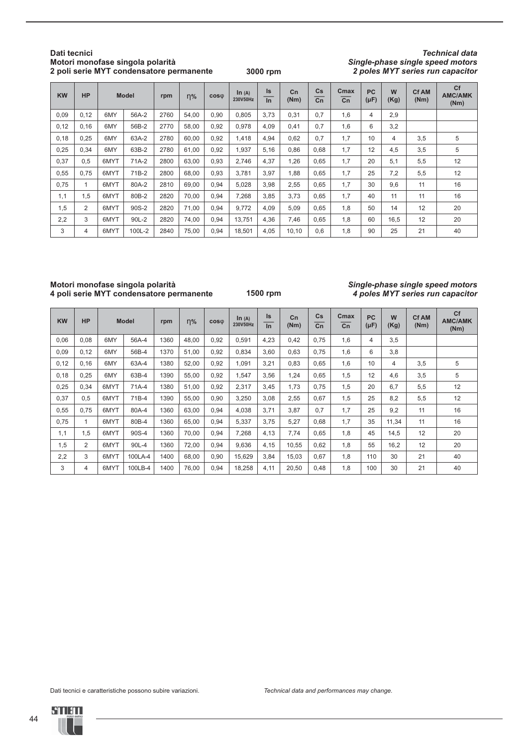#### **Dati tecnici Motori monofase singola polarità 2 poli serie MYT condensatore permanente**

**3000 rpm**

*Technical data Single-phase single speed motors 2 poles MYT series run capacitor*

| <b>KW</b> | <b>HP</b>      |      | <b>Model</b> |      | $n\%$ | $cos\phi$ | ln (A)<br>230V50Hz | ls<br>In | C <sub>n</sub><br>(Nm) | Cs<br>Cn | Cmax<br>Cn | <b>PC</b><br>$(\mu F)$ | W<br>(Kg) | <b>Cf AM</b><br>(Nm) | Cf<br><b>AMC/AMK</b><br>(Nm) |
|-----------|----------------|------|--------------|------|-------|-----------|--------------------|----------|------------------------|----------|------------|------------------------|-----------|----------------------|------------------------------|
| 0,09      | 0,12           | 6MY  | 56A-2        | 2760 | 54,00 | 0,90      | 0.805              | 3,73     | 0,31                   | 0.7      | 1,6        | 4                      | 2,9       |                      |                              |
| 0,12      | 0, 16          | 6MY  | 56B-2        | 2770 | 58,00 | 0,92      | 0.978              | 4,09     | 0,41                   | 0.7      | 1,6        | 6                      | 3,2       |                      |                              |
| 0,18      | 0,25           | 6MY  | 63A-2        | 2780 | 60,00 | 0,92      | 1,418              | 4,94     | 0,62                   | 0.7      | 1,7        | 10                     | 4         | 3,5                  | 5                            |
| 0,25      | 0,34           | 6MY  | 63B-2        | 2780 | 61.00 | 0,92      | 1.937              | 5,16     | 0.86                   | 0,68     | 1.7        | 12                     | 4,5       | 3,5                  | 5                            |
| 0,37      | 0,5            | 6MYT | 71A-2        | 2800 | 63,00 | 0,93      | 2.746              | 4,37     | 1,26                   | 0,65     | 1,7        | 20                     | 5.1       | 5,5                  | 12                           |
| 0,55      | 0,75           | 6MYT | 71B-2        | 2800 | 68,00 | 0,93      | 3,781              | 3,97     | 1,88                   | 0,65     | 1,7        | 25                     | 7,2       | 5,5                  | 12                           |
| 0,75      |                | 6MYT | 80A-2        | 2810 | 69,00 | 0,94      | 5,028              | 3,98     | 2,55                   | 0,65     | 1,7        | 30                     | 9,6       | 11                   | 16                           |
| 1,1       | 1,5            | 6MYT | 80B-2        | 2820 | 70,00 | 0,94      | 7,268              | 3,85     | 3,73                   | 0,65     | 1,7        | 40                     | 11        | 11                   | 16                           |
| 1.5       | $\overline{2}$ | 6MYT | 90S-2        | 2820 | 71.00 | 0,94      | 9.772              | 4,09     | 5,09                   | 0,65     | 1.8        | 50                     | 14        | 12                   | 20                           |
| 2,2       | 3              | 6MYT | 90L-2        | 2820 | 74,00 | 0,94      | 13.751             | 4,36     | 7,46                   | 0,65     | 1,8        | 60                     | 16,5      | 12                   | 20                           |
| 3         | $\overline{4}$ | 6MYT | 100L-2       | 2840 | 75,00 | 0,94      | 18,501             | 4,05     | 10,10                  | 0,6      | 1,8        | 90                     | 25        | 21                   | 40                           |

#### **Motori monofase singola polarità 4 poli serie MYT condensatore permanente**

**1500 rpm**

#### *Single-phase single speed motors 4 poles MYT series run capacitor*

| <b>KW</b> | <b>HP</b>      |      | <b>Model</b> |      | $n\%$ | $cos\phi$ | In $(A)$<br>230V50Hz | ls<br>In | C <sub>n</sub><br>(Nm) | Cs<br>Cn | Cmax<br>Cn | <b>PC</b><br>$(\mu F)$ | W<br>(Kg) | <b>Cf AM</b><br>(Nm) | Cf<br><b>AMC/AMK</b><br>(Nm) |
|-----------|----------------|------|--------------|------|-------|-----------|----------------------|----------|------------------------|----------|------------|------------------------|-----------|----------------------|------------------------------|
| 0,06      | 0,08           | 6MY  | 56A-4        | 1360 | 48,00 | 0,92      | 0,591                | 4,23     | 0,42                   | 0.75     | 1,6        | 4                      | 3.5       |                      |                              |
| 0,09      | 0,12           | 6MY  | 56B-4        | 1370 | 51,00 | 0,92      | 0,834                | 3,60     | 0,63                   | 0,75     | 1,6        | 6                      | 3,8       |                      |                              |
| 0,12      | 0, 16          | 6MY  | 63A-4        | 1380 | 52,00 | 0,92      | 1,091                | 3,21     | 0,83                   | 0.65     | 1,6        | 10                     | 4         | 3,5                  | 5                            |
| 0,18      | 0,25           | 6MY  | 63B-4        | 1390 | 55,00 | 0,92      | 1,547                | 3,56     | 1,24                   | 0,65     | 1,5        | 12                     | 4,6       | 3,5                  | 5                            |
| 0,25      | 0,34           | 6MYT | 71A-4        | 1380 | 51,00 | 0,92      | 2,317                | 3,45     | 1,73                   | 0,75     | 1,5        | 20                     | 6.7       | 5,5                  | 12                           |
| 0,37      | 0,5            | 6MYT | 71B-4        | 1390 | 55,00 | 0,90      | 3,250                | 3,08     | 2,55                   | 0.67     | 1,5        | 25                     | 8,2       | 5,5                  | 12                           |
| 0,55      | 0,75           | 6MYT | 80A-4        | 1360 | 63,00 | 0,94      | 4,038                | 3,71     | 3,87                   | 0.7      | 1,7        | 25                     | 9,2       | 11                   | 16                           |
| 0,75      | 1              | 6MYT | 80B-4        | 1360 | 65,00 | 0,94      | 5,337                | 3,75     | 5,27                   | 0,68     | 1,7        | 35                     | 11,34     | 11                   | 16                           |
| 1,1       | 1.5            | 6MYT | 90S-4        | 1360 | 70,00 | 0,94      | 7.268                | 4,13     | 7,74                   | 0.65     | 1,8        | 45                     | 14,5      | 12                   | 20                           |
| 1,5       | $\overline{2}$ | 6MYT | 90L-4        | 1360 | 72,00 | 0,94      | 9,636                | 4,15     | 10,55                  | 0,62     | 1,8        | 55                     | 16,2      | 12                   | 20                           |
| 2,2       | 3              | 6MYT | 100LA-4      | 1400 | 68,00 | 0,90      | 15,629               | 3,84     | 15,03                  | 0,67     | 1,8        | 110                    | 30        | 21                   | 40                           |
| 3         | 4              | 6MYT | 100LB-4      | 1400 | 76.00 | 0,94      | 18.258               | 4,11     | 20,50                  | 0,48     | 1,8        | 100                    | 30        | 21                   | 40                           |

Dati tecnici e caratteristiche possono subire variazioni. *Technical data and performances may change.*

44